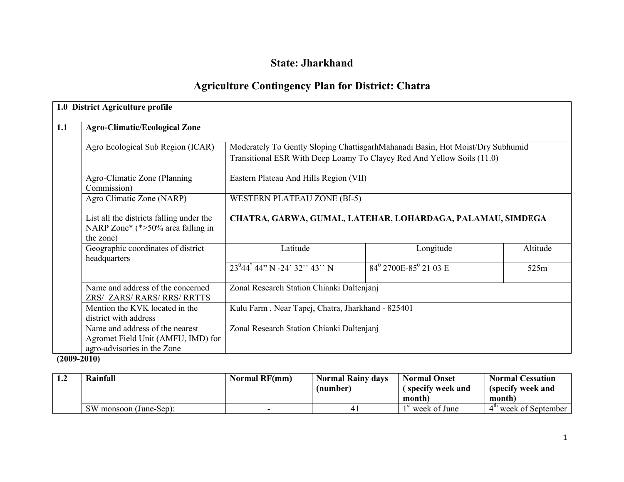# State: Jharkhand

# Agriculture Contingency Plan for District: Chatra

|     | 1.0 District Agriculture profile                                                                     |                                                                                                                                                                                                    |                                            |          |  |  |  |
|-----|------------------------------------------------------------------------------------------------------|----------------------------------------------------------------------------------------------------------------------------------------------------------------------------------------------------|--------------------------------------------|----------|--|--|--|
| 1.1 | <b>Agro-Climatic/Ecological Zone</b>                                                                 |                                                                                                                                                                                                    |                                            |          |  |  |  |
|     | Agro Ecological Sub Region (ICAR)                                                                    | Moderately To Gently Sloping ChattisgarhMahanadi Basin, Hot Moist/Dry Subhumid<br>Transitional ESR With Deep Loamy To Clayey Red And Yellow Soils (11.0)<br>Eastern Plateau And Hills Region (VII) |                                            |          |  |  |  |
|     | Agro-Climatic Zone (Planning<br>Commission)                                                          |                                                                                                                                                                                                    |                                            |          |  |  |  |
|     | Agro Climatic Zone (NARP)                                                                            | <b>WESTERN PLATEAU ZONE (BI-5)</b>                                                                                                                                                                 |                                            |          |  |  |  |
|     | List all the districts falling under the<br>NARP Zone* (*>50% area falling in<br>the zone)           | CHATRA, GARWA, GUMAL, LATEHAR, LOHARDAGA, PALAMAU, SIMDEGA                                                                                                                                         |                                            |          |  |  |  |
|     | Geographic coordinates of district<br>headquarters                                                   | Latitude                                                                                                                                                                                           | Longitude                                  | Altitude |  |  |  |
|     |                                                                                                      | $23^{0}44^{7}44''$ N -24' 32" 43" N                                                                                                                                                                | $84^{\circ}$ 2700E-85 <sup>°</sup> 21 03 E | 525m     |  |  |  |
|     | Name and address of the concerned<br>ZRS/ ZARS/ RARS/ RRS/ RRTTS                                     | Zonal Research Station Chianki Daltenjanj                                                                                                                                                          |                                            |          |  |  |  |
|     | Mention the KVK located in the<br>district with address                                              | Kulu Farm, Near Tapej, Chatra, Jharkhand - 825401                                                                                                                                                  |                                            |          |  |  |  |
|     | Name and address of the nearest<br>Agromet Field Unit (AMFU, IMD) for<br>agro-advisories in the Zone | Zonal Research Station Chianki Daltenjanj                                                                                                                                                          |                                            |          |  |  |  |

 $(2009 - 2010)$ 

| Rainfall               | <b>Normal RF(mm)</b> | <b>Normal Rainy days</b> | <b>Normal Onset</b> | <b>Normal Cessation</b> |
|------------------------|----------------------|--------------------------|---------------------|-------------------------|
|                        |                      | (number)                 | (specify week and   | (specify week and       |
|                        |                      |                          | month)              | month)                  |
| SW monsoon (June-Sep): |                      | 41                       | $1st$ week of June  | $4th$ week of September |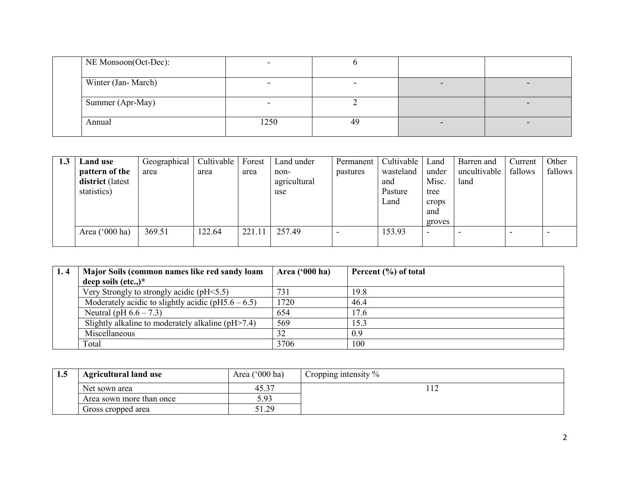| NE Monsoon(Oct-Dec): |      |    |  |
|----------------------|------|----|--|
| Winter (Jan-March)   |      |    |  |
| Summer (Apr-May)     |      |    |  |
| Annual               | 1250 | 49 |  |

| 1.3 | <b>Land use</b>  | Geographical | Cultivable | Forest | Land under   | Permanent | Cultivable   Land |                          | Barren and   | Current | Other   |
|-----|------------------|--------------|------------|--------|--------------|-----------|-------------------|--------------------------|--------------|---------|---------|
|     | pattern of the   | area         | area       | area   | non-         | pastures  | wasteland         | under                    | uncultivable | fallows | fallows |
|     | district (latest |              |            |        | agricultural |           | and               | Misc.                    | land         |         |         |
|     | statistics)      |              |            |        | use          |           | Pasture           | tree                     |              |         |         |
|     |                  |              |            |        |              |           | Land              | crops                    |              |         |         |
|     |                  |              |            |        |              |           |                   | and                      |              |         |         |
|     |                  |              |            |        |              |           |                   | groves                   |              |         |         |
|     | Area $('000 ha)$ | 369.51       | 122.64     | 221.1  | 257.49       |           | 153.93            | $\overline{\phantom{0}}$ |              |         |         |
|     |                  |              |            |        |              |           |                   |                          |              |         |         |

| 1.4 | Major Soils (common names like red sandy loam          | Area $(900 \text{ ha})$ | Percent $(\% )$ of total |
|-----|--------------------------------------------------------|-------------------------|--------------------------|
|     | deep soils $(\text{etc.})^*$                           |                         |                          |
|     | Very Strongly to strongly acidic ( $pH \le 5.5$ )      | 731                     | 19.8                     |
|     | Moderately acidic to slightly acidic ( $pH5.6 - 6.5$ ) | 1720                    | 46.4                     |
|     | Neutral (pH $6.6 - 7.3$ )                              | 654                     | 17.6                     |
|     | Slightly alkaline to moderately alkaline $(pH > 7.4)$  | 569                     | 15.3                     |
|     | Miscellaneous                                          | 32                      | 0.9                      |
|     | Total                                                  | 3706                    | 100                      |

| 1. . J | <b>Agricultural land use</b> | Area $('000 ha)$ | Cropping intensity $\%$ |
|--------|------------------------------|------------------|-------------------------|
|        | Net sown area                | 45.37            |                         |
|        | Area sown more than once     | 5.93             |                         |
|        | Gross cropped area           | 20<br>ر ہے. این  |                         |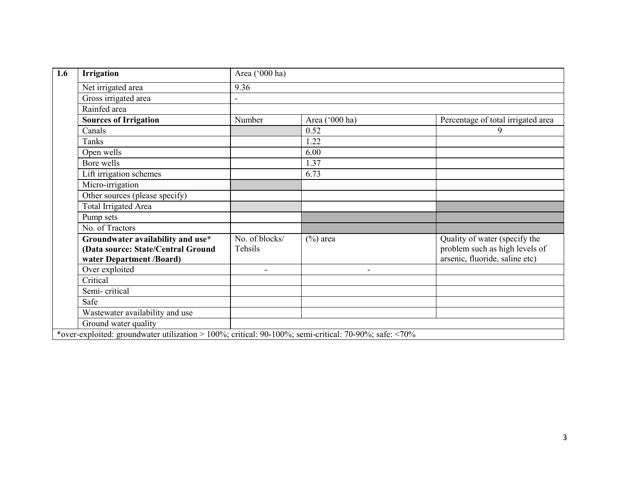| 1.6 | <b>Irrigation</b>                                                                                     | Area ('000 ha)            |                          |                                                                                                   |  |  |  |  |
|-----|-------------------------------------------------------------------------------------------------------|---------------------------|--------------------------|---------------------------------------------------------------------------------------------------|--|--|--|--|
|     | Net irrigated area                                                                                    | 9.36                      |                          |                                                                                                   |  |  |  |  |
|     | Gross irrigated area                                                                                  |                           |                          |                                                                                                   |  |  |  |  |
|     | Rainfed area                                                                                          |                           |                          |                                                                                                   |  |  |  |  |
|     | <b>Sources of Irrigation</b>                                                                          | Number                    | Area ('000 ha)           | Percentage of total irrigated area                                                                |  |  |  |  |
|     | Canals                                                                                                |                           | 0.52                     | 9                                                                                                 |  |  |  |  |
|     | <b>Tanks</b>                                                                                          |                           | 1.22                     |                                                                                                   |  |  |  |  |
|     | Open wells                                                                                            |                           | 6.00                     |                                                                                                   |  |  |  |  |
|     | Bore wells                                                                                            |                           | 1.37                     |                                                                                                   |  |  |  |  |
|     | Lift irrigation schemes                                                                               |                           | 6.73                     |                                                                                                   |  |  |  |  |
|     | Micro-irrigation                                                                                      |                           |                          |                                                                                                   |  |  |  |  |
|     | Other sources (please specify)                                                                        |                           |                          |                                                                                                   |  |  |  |  |
|     | <b>Total Irrigated Area</b>                                                                           |                           |                          |                                                                                                   |  |  |  |  |
|     | Pump sets                                                                                             |                           |                          |                                                                                                   |  |  |  |  |
|     | No. of Tractors                                                                                       |                           |                          |                                                                                                   |  |  |  |  |
|     | Groundwater availability and use*<br>(Data source: State/Central Ground<br>water Department /Board)   | No. of blocks/<br>Tehsils | $(\%)$ area              | Quality of water (specify the<br>problem such as high levels of<br>arsenic, fluoride, saline etc) |  |  |  |  |
|     | Over exploited                                                                                        | $\blacksquare$            | $\overline{\phantom{0}}$ |                                                                                                   |  |  |  |  |
|     | Critical                                                                                              |                           |                          |                                                                                                   |  |  |  |  |
|     | Semi-critical                                                                                         |                           |                          |                                                                                                   |  |  |  |  |
|     | Safe                                                                                                  |                           |                          |                                                                                                   |  |  |  |  |
|     | Wastewater availability and use                                                                       |                           |                          |                                                                                                   |  |  |  |  |
|     | Ground water quality                                                                                  |                           |                          |                                                                                                   |  |  |  |  |
|     | *over-exploited: groundwater utilization > 100%; critical: 90-100%; semi-critical: 70-90%; safe: <70% |                           |                          |                                                                                                   |  |  |  |  |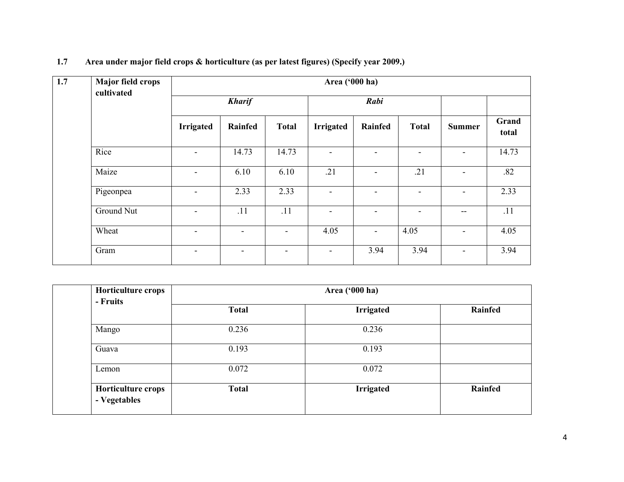| 1.7 | <b>Major field crops</b> | Area ('000 ha)           |         |                          |                          |                          |                          |                          |                |  |
|-----|--------------------------|--------------------------|---------|--------------------------|--------------------------|--------------------------|--------------------------|--------------------------|----------------|--|
|     | cultivated               | <b>Kharif</b>            |         |                          |                          | Rabi                     |                          |                          |                |  |
|     |                          | <b>Irrigated</b>         | Rainfed | <b>Total</b>             | <b>Irrigated</b>         | Rainfed                  | <b>Total</b>             | <b>Summer</b>            | Grand<br>total |  |
|     | Rice                     | $\overline{\phantom{a}}$ | 14.73   | 14.73                    | $\blacksquare$           | $\blacksquare$           | $\overline{\phantom{a}}$ | $\overline{\phantom{a}}$ | 14.73          |  |
|     | Maize                    | $\overline{\phantom{a}}$ | 6.10    | 6.10                     | .21                      | $\overline{\phantom{a}}$ | .21                      | $\overline{\phantom{a}}$ | .82            |  |
|     | Pigeonpea                | $\overline{\phantom{a}}$ | 2.33    | 2.33                     | $\overline{\phantom{a}}$ | $\overline{\phantom{a}}$ | $\overline{\phantom{0}}$ | ۰                        | 2.33           |  |
|     | Ground Nut               | $\overline{\phantom{a}}$ | .11     | .11                      | $\overline{\phantom{a}}$ |                          |                          | --                       | .11            |  |
|     | Wheat                    | $\overline{\phantom{a}}$ |         | $\overline{\phantom{a}}$ | 4.05                     | $\blacksquare$           | 4.05                     | $\overline{\phantom{a}}$ | 4.05           |  |
|     | Gram                     | $\overline{\phantom{a}}$ | -       | $\overline{\phantom{0}}$ | $\overline{\phantom{0}}$ | 3.94                     | 3.94                     | ۰                        | 3.94           |  |

| 1.7 | Area under major field crops & horticulture (as per latest figures) (Specify year 2009.) |  |  |  |
|-----|------------------------------------------------------------------------------------------|--|--|--|
|     |                                                                                          |  |  |  |

| Horticulture crops<br>- Fruits     |              |                  |         |
|------------------------------------|--------------|------------------|---------|
|                                    | <b>Total</b> | <b>Irrigated</b> | Rainfed |
| Mango                              | 0.236        | 0.236            |         |
| Guava                              | 0.193        | 0.193            |         |
| Lemon                              | 0.072        | 0.072            |         |
| Horticulture crops<br>- Vegetables | <b>Total</b> | <b>Irrigated</b> | Rainfed |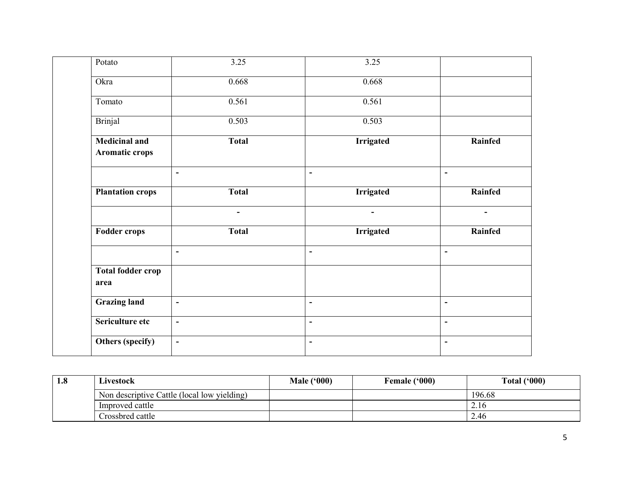| Potato                                 | 3.25           | 3.25                         |                              |
|----------------------------------------|----------------|------------------------------|------------------------------|
| Okra                                   | 0.668          | 0.668                        |                              |
| Tomato                                 | 0.561          | 0.561                        |                              |
| <b>Brinjal</b>                         | 0.503          | 0.503                        |                              |
| <b>Medicinal and</b><br>Aromatic crops | <b>Total</b>   | <b>Irrigated</b>             | Rainfed                      |
|                                        | $\blacksquare$ | $\overline{\phantom{a}}$     | $\blacksquare$               |
| <b>Plantation crops</b>                | <b>Total</b>   | <b>Irrigated</b>             | Rainfed                      |
|                                        | $\sim$         | $\blacksquare$               | $\blacksquare$               |
| <b>Fodder crops</b>                    | <b>Total</b>   | <b>Irrigated</b>             | Rainfed                      |
|                                        | $\blacksquare$ | $\qquad \qquad \blacksquare$ | $\blacksquare$               |
| <b>Total fodder crop</b><br>area       |                |                              |                              |
| <b>Grazing land</b>                    | $\blacksquare$ | $\qquad \qquad \blacksquare$ | $\overline{\phantom{0}}$     |
| Sericulture etc                        | $\blacksquare$ | $\qquad \qquad \blacksquare$ | $\qquad \qquad \blacksquare$ |
| Others (specify)                       | $\blacksquare$ | $\blacksquare$               | ٠                            |

| 1.8 | Livestock                                   | <b>Male ('000)</b> | <b>Female ('000)</b> | Total $(900)$ |
|-----|---------------------------------------------|--------------------|----------------------|---------------|
|     | Non descriptive Cattle (local low yielding) |                    |                      | 196.68        |
|     | Improved cattle                             |                    |                      | 2.16          |
|     | Crossbred cattle                            |                    |                      | 2.46          |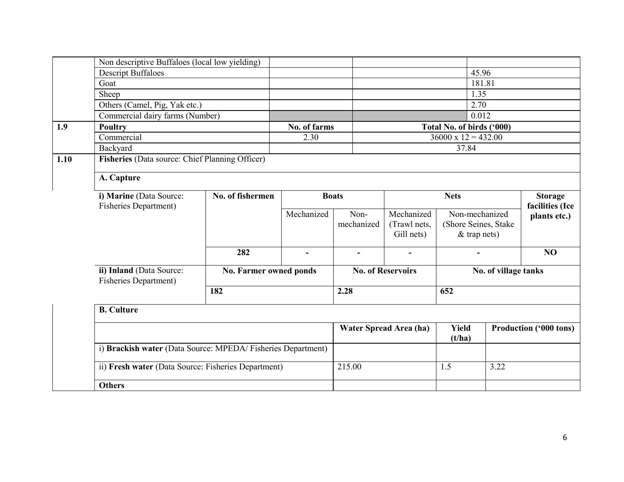|      | Non descriptive Buffaloes (local low yielding)              |                        |              |                          |                        |                            |                |                               |
|------|-------------------------------------------------------------|------------------------|--------------|--------------------------|------------------------|----------------------------|----------------|-------------------------------|
|      | <b>Descript Buffaloes</b>                                   |                        |              |                          |                        | 45.96                      |                |                               |
|      | Goat                                                        |                        |              |                          |                        |                            | 181.81         |                               |
|      | Sheep                                                       |                        |              |                          |                        | 1.35                       |                |                               |
|      | Others (Camel, Pig, Yak etc.)                               |                        |              |                          |                        | 2.70                       |                |                               |
|      | Commercial dairy farms (Number)                             |                        |              |                          |                        | 0.012                      |                |                               |
| 1.9  | Poultry                                                     |                        | No. of farms |                          |                        | Total No. of birds ('000)  |                |                               |
|      | Commercial                                                  |                        | 2.30         |                          |                        | $36000 \times 12 = 432.00$ |                |                               |
|      | Backyard                                                    |                        |              |                          |                        | 37.84                      |                |                               |
| 1.10 | Fisheries (Data source: Chief Planning Officer)             |                        |              |                          |                        |                            |                |                               |
|      | A. Capture                                                  |                        |              |                          |                        |                            |                |                               |
|      | No. of fishermen<br>i) Marine (Data Source:                 |                        | <b>Boats</b> |                          | <b>Nets</b>            |                            | <b>Storage</b> |                               |
|      | <b>Fisheries Department)</b>                                |                        | Mechanized   | Non-                     | Mechanized             | Non-mechanized             |                | facilities (Ice               |
|      |                                                             |                        |              | mechanized               | (Trawl nets,           | (Shore Seines, Stake       |                | plants etc.)                  |
|      |                                                             |                        |              |                          | Gill nets)             | $&$ trap nets)             |                |                               |
|      |                                                             | 282                    |              | $\blacksquare$           |                        |                            |                | N <sub>O</sub>                |
|      |                                                             |                        |              |                          |                        |                            |                |                               |
|      | ii) Inland (Data Source:<br><b>Fisheries Department</b> )   | No. Farmer owned ponds |              | <b>No. of Reservoirs</b> |                        | No. of village tanks       |                |                               |
|      |                                                             | 182                    |              | 2.28                     |                        | 652                        |                |                               |
|      | <b>B.</b> Culture                                           |                        |              |                          |                        |                            |                |                               |
|      |                                                             |                        |              |                          | Water Spread Area (ha) | <b>Yield</b><br>(t/ha)     |                | <b>Production ('000 tons)</b> |
|      | i) Brackish water (Data Source: MPEDA/Fisheries Department) |                        |              |                          |                        |                            |                |                               |
|      | ii) Fresh water (Data Source: Fisheries Department)         |                        |              | 215.00                   |                        | 1.5                        | 3.22           |                               |
|      | <b>Others</b>                                               |                        |              |                          |                        |                            |                |                               |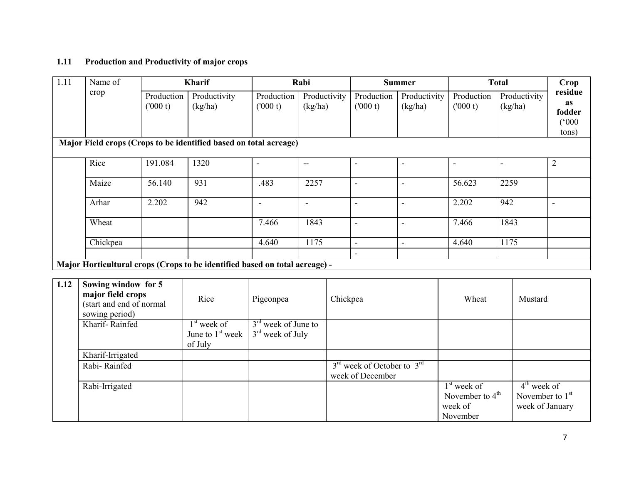### 1.11 Production and Productivity of major crops

| 1.11 | Name of                                                                     |                       | <b>Kharif</b>                                                     |                          | Rabi                    |                          | <b>Summer</b>            |                          | <b>Total</b>            | Crop                                                |
|------|-----------------------------------------------------------------------------|-----------------------|-------------------------------------------------------------------|--------------------------|-------------------------|--------------------------|--------------------------|--------------------------|-------------------------|-----------------------------------------------------|
|      | crop                                                                        | Production<br>(000 t) | Productivity<br>(kg/ha)                                           | Production<br>(000 t)    | Productivity<br>(kg/ha) | Production<br>(000 t)    | Productivity<br>(kg/ha)  | Production<br>(000 t)    | Productivity<br>(kg/ha) | residue<br>as<br>fodder<br>$(000^{\circ})$<br>tons) |
|      |                                                                             |                       | Major Field crops (Crops to be identified based on total acreage) |                          |                         |                          |                          |                          |                         |                                                     |
|      | Rice                                                                        | 191.084               | 1320                                                              | $\blacksquare$           | $- -$                   | $\overline{\phantom{a}}$ | $\sim$                   | $\overline{\phantom{a}}$ | $\blacksquare$          | $\overline{2}$                                      |
|      | Maize                                                                       | 56.140                | 931                                                               | .483                     | 2257                    | ٠                        | $\overline{\phantom{0}}$ | 56.623                   | 2259                    |                                                     |
|      | Arhar                                                                       | 2.202                 | 942                                                               | $\overline{\phantom{a}}$ | $\blacksquare$          | $\blacksquare$           | $\sim$                   | 2.202                    | 942                     | $\blacksquare$                                      |
|      | Wheat                                                                       |                       |                                                                   | 7.466                    | 1843                    | $\overline{\phantom{a}}$ | $\overline{\phantom{a}}$ | 7.466                    | 1843                    |                                                     |
|      | Chickpea                                                                    |                       |                                                                   | 4.640                    | 1175                    | $\blacksquare$<br>۰      | ٠                        | 4.640                    | 1175                    |                                                     |
|      | Major Horticultural crops (Crops to be identified based on total acreage) - |                       |                                                                   |                          |                         |                          |                          |                          |                         |                                                     |
|      |                                                                             |                       |                                                                   |                          |                         |                          |                          |                          |                         |                                                     |
| 1.12 | Sowing window for 5                                                         |                       |                                                                   |                          |                         |                          |                          |                          |                         |                                                     |

| 1.12 | Sowing window for 5<br>major field crops<br>(start and end of normal<br>sowing period) | Rice               | Pigeonpea             | Chickpea                                           | Wheat             | Mustard           |
|------|----------------------------------------------------------------------------------------|--------------------|-----------------------|----------------------------------------------------|-------------------|-------------------|
|      | Kharif-Rainfed                                                                         | $1st$ week of      | $3rd$ week of June to |                                                    |                   |                   |
|      |                                                                                        | June to $1st$ week | $3rd$ week of July    |                                                    |                   |                   |
|      |                                                                                        | of July            |                       |                                                    |                   |                   |
|      | Kharif-Irrigated                                                                       |                    |                       |                                                    |                   |                   |
|      | Rabi-Rainfed                                                                           |                    |                       | $3^{\text{rd}}$ week of October to $3^{\text{rd}}$ |                   |                   |
|      |                                                                                        |                    |                       | week of December                                   |                   |                   |
|      | Rabi-Irrigated                                                                         |                    |                       |                                                    | $1st$ week of     | $4th$ week of     |
|      |                                                                                        |                    |                       |                                                    | November to $4th$ | November to $1st$ |
|      |                                                                                        |                    |                       |                                                    | week of           | week of January   |
|      |                                                                                        |                    |                       |                                                    | November          |                   |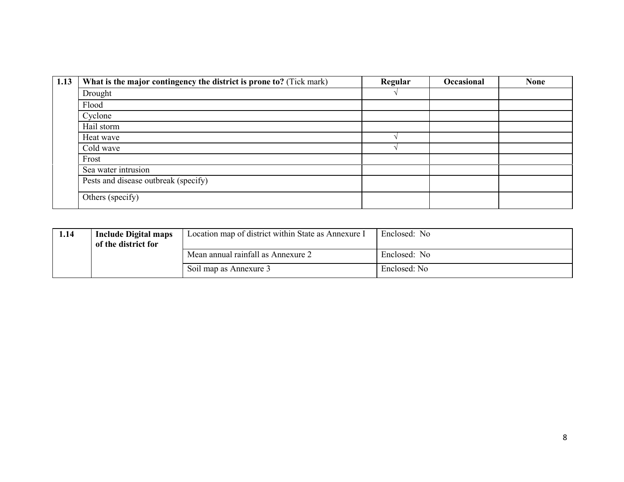| 1.13 | What is the major contingency the district is prone to? (Tick mark) | Regular | Occasional | <b>None</b> |
|------|---------------------------------------------------------------------|---------|------------|-------------|
|      | Drought                                                             |         |            |             |
|      | Flood                                                               |         |            |             |
|      | Cyclone                                                             |         |            |             |
|      | Hail storm                                                          |         |            |             |
|      | Heat wave                                                           |         |            |             |
|      | Cold wave                                                           |         |            |             |
|      | Frost                                                               |         |            |             |
|      | Sea water intrusion                                                 |         |            |             |
|      | Pests and disease outbreak (specify)                                |         |            |             |
|      | Others (specify)                                                    |         |            |             |

| 1.14 | <b>Include Digital maps</b><br>of the district for | Location map of district within State as Annexure I | Enclosed: No |
|------|----------------------------------------------------|-----------------------------------------------------|--------------|
|      |                                                    | Mean annual rainfall as Annexure 2                  | Enclosed: No |
|      |                                                    | Soil map as Annexure 3                              | Enclosed: No |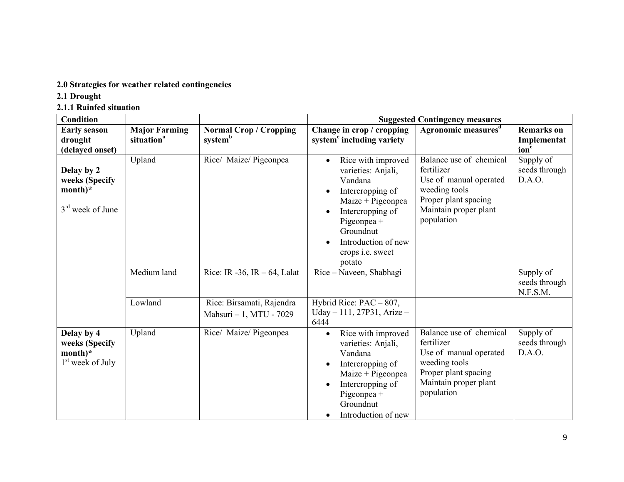# 2.0 Strategies for weather related contingencies

- 2.1 Drought
- 2.1.1 Rainfed situation

| <b>Condition</b>                                                 |                                                |                                                      | <b>Suggested Contingency measures</b>                                                                                                                                                                                   |                                                                                                                                                 |                                                      |  |
|------------------------------------------------------------------|------------------------------------------------|------------------------------------------------------|-------------------------------------------------------------------------------------------------------------------------------------------------------------------------------------------------------------------------|-------------------------------------------------------------------------------------------------------------------------------------------------|------------------------------------------------------|--|
| <b>Early season</b><br>drought<br>(delayed onset)                | <b>Major Farming</b><br>situation <sup>a</sup> | <b>Normal Crop / Cropping</b><br>systemb             | Change in crop / cropping<br>system <sup>c</sup> including variety                                                                                                                                                      | Agronomic measures <sup>d</sup>                                                                                                                 | <b>Remarks</b> on<br>Implementat<br>ion <sup>e</sup> |  |
| Delay by 2<br>weeks (Specify<br>$month)^*$<br>$3rd$ week of June | Upland                                         | Rice/ Maize/ Pigeonpea                               | Rice with improved<br>$\bullet$<br>varieties: Anjali,<br>Vandana<br>Intercropping of<br>$Maize + Pigeonpea$<br>Intercropping of<br>Pigeonpea +<br>Groundnut<br>Introduction of new<br>crops <i>i.e.</i> sweet<br>potato | Balance use of chemical<br>fertilizer<br>Use of manual operated<br>weeding tools<br>Proper plant spacing<br>Maintain proper plant<br>population | Supply of<br>seeds through<br>D.A.O.                 |  |
|                                                                  | Medium land                                    | Rice: IR -36, IR $-64$ , Lalat                       | Rice – Naveen, Shabhagi                                                                                                                                                                                                 |                                                                                                                                                 | Supply of<br>seeds through<br>N.F.S.M.               |  |
|                                                                  | Lowland                                        | Rice: Birsamati, Rajendra<br>Mahsuri - 1, MTU - 7029 | Hybrid Rice: $PAC - 807$ ,<br>Uday - 111, 27P31, Arize -<br>6444                                                                                                                                                        |                                                                                                                                                 |                                                      |  |
| Delay by 4<br>weeks (Specify<br>$month)*$<br>$1st$ week of July  | Upland                                         | Rice/ Maize/ Pigeonpea                               | Rice with improved<br>$\bullet$<br>varieties: Anjali,<br>Vandana<br>Intercropping of<br>$Maize + Pigeonpea$<br>Intercropping of<br>Pigeonpea +<br>Groundnut<br>Introduction of new<br>٠                                 | Balance use of chemical<br>fertilizer<br>Use of manual operated<br>weeding tools<br>Proper plant spacing<br>Maintain proper plant<br>population | Supply of<br>seeds through<br>D.A.O.                 |  |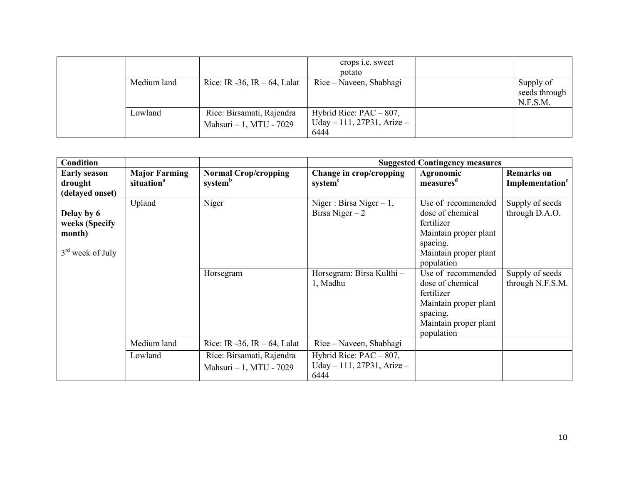|             |                                                      | crops <i>i.e.</i> sweet<br>potato                                |                                        |
|-------------|------------------------------------------------------|------------------------------------------------------------------|----------------------------------------|
| Medium land | Rice: IR -36, IR $-64$ , Lalat                       | Rice – Naveen, Shabhagi                                          | Supply of<br>seeds through<br>N.F.S.M. |
| Lowland     | Rice: Birsamati, Rajendra<br>Mahsuri - 1, MTU - 7029 | Hybrid Rice: $PAC - 807$ ,<br>Uday – 111, 27P31, Arize –<br>6444 |                                        |

| <b>Condition</b>                                             |                                                |                                                      |                                                                      | <b>Suggested Contingency measures</b>                                                                                            |                                                  |
|--------------------------------------------------------------|------------------------------------------------|------------------------------------------------------|----------------------------------------------------------------------|----------------------------------------------------------------------------------------------------------------------------------|--------------------------------------------------|
| <b>Early season</b><br>drought<br>(delayed onset)            | <b>Major Farming</b><br>situation <sup>a</sup> | <b>Normal Crop/cropping</b><br>system <sup>b</sup>   | Change in crop/cropping<br>system <sup>c</sup>                       | Agronomic<br>measures <sup>d</sup>                                                                                               | <b>Remarks</b> on<br>Implementation <sup>e</sup> |
| Delay by 6<br>weeks (Specify<br>month)<br>$3rd$ week of July | Upland                                         | Niger                                                | Niger : Birsa Niger $-1$ ,<br>Birsa Niger $-2$                       | Use of recommended<br>dose of chemical<br>fertilizer<br>Maintain proper plant<br>spacing.<br>Maintain proper plant<br>population | Supply of seeds<br>through D.A.O.                |
|                                                              |                                                | Horsegram                                            | Horsegram: Birsa Kulthi -<br>1, Madhu                                | Use of recommended<br>dose of chemical<br>fertilizer<br>Maintain proper plant<br>spacing.<br>Maintain proper plant<br>population | Supply of seeds<br>through N.F.S.M.              |
|                                                              | Medium land                                    | Rice: IR -36, IR $-64$ , Lalat                       | Rice – Naveen, Shabhagi                                              |                                                                                                                                  |                                                  |
|                                                              | Lowland                                        | Rice: Birsamati, Rajendra<br>Mahsuri - 1, MTU - 7029 | Hybrid Rice: $PAC - 807$ ,<br>Uday $-111$ , 27P31, Arize $-$<br>6444 |                                                                                                                                  |                                                  |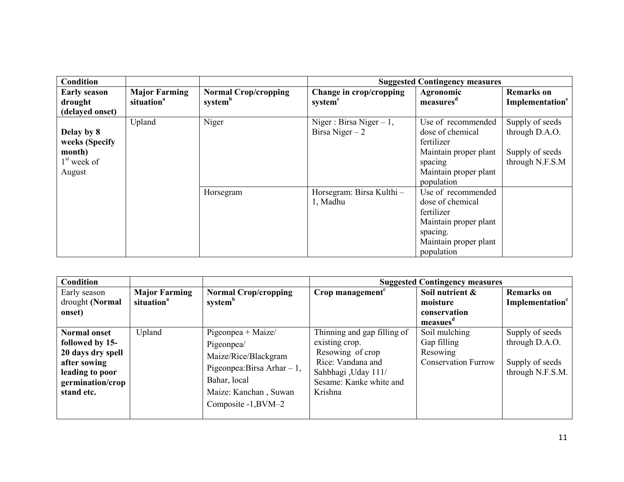| <b>Condition</b>                                                  |                                                |                                                    |                                                | <b>Suggested Contingency measures</b>                                                                                            |                                                                         |
|-------------------------------------------------------------------|------------------------------------------------|----------------------------------------------------|------------------------------------------------|----------------------------------------------------------------------------------------------------------------------------------|-------------------------------------------------------------------------|
| <b>Early season</b><br>drought<br>(delayed onset)                 | <b>Major Farming</b><br>situation <sup>a</sup> | <b>Normal Crop/cropping</b><br>system <sup>b</sup> | Change in crop/cropping<br>system <sup>c</sup> | Agronomic<br>measures <sup>d</sup>                                                                                               | <b>Remarks</b> on<br>Implementation <sup>e</sup>                        |
| Delay by 8<br>weeks (Specify<br>month)<br>$1st$ week of<br>August | Upland                                         | Niger                                              | Niger : Birsa Niger $-1$ ,<br>Birsa Niger $-2$ | Use of recommended<br>dose of chemical<br>fertilizer<br>Maintain proper plant<br>spacing<br>Maintain proper plant<br>population  | Supply of seeds<br>through D.A.O.<br>Supply of seeds<br>through N.F.S.M |
|                                                                   |                                                | Horsegram                                          | Horsegram: Birsa Kulthi -<br>1, Madhu          | Use of recommended<br>dose of chemical<br>fertilizer<br>Maintain proper plant<br>spacing.<br>Maintain proper plant<br>population |                                                                         |

| <b>Condition</b>                                                                                                                 |                                                |                                                                                                                                                           |                                                                                                                                                     | <b>Suggested Contingency measures</b>                                  |                                                                          |
|----------------------------------------------------------------------------------------------------------------------------------|------------------------------------------------|-----------------------------------------------------------------------------------------------------------------------------------------------------------|-----------------------------------------------------------------------------------------------------------------------------------------------------|------------------------------------------------------------------------|--------------------------------------------------------------------------|
| Early season<br>drought (Normal<br>onset)                                                                                        | <b>Major Farming</b><br>situation <sup>a</sup> | <b>Normal Crop/cropping</b><br>system <sup>b</sup>                                                                                                        | Crop management <sup>c</sup>                                                                                                                        | Soil nutrient &<br>moisture<br>conservation<br>measues                 | <b>Remarks</b> on<br>Implementation <sup>e</sup>                         |
| <b>Normal onset</b><br>followed by 15-<br>20 days dry spell<br>after sowing<br>leading to poor<br>germination/crop<br>stand etc. | Upland                                         | Pigeonpea + Maize/<br>Pigeonpea/<br>Maize/Rice/Blackgram<br>Pigeonpea: Birsa Arhar $-1$ ,<br>Bahar, local<br>Maize: Kanchan, Suwan<br>Composite -1, BVM-2 | Thinning and gap filling of<br>existing crop.<br>Resowing of crop<br>Rice: Vandana and<br>Sahbhagi, Uday 111/<br>Sesame: Kanke white and<br>Krishna | Soil mulching<br>Gap filling<br>Resowing<br><b>Conservation Furrow</b> | Supply of seeds<br>through D.A.O.<br>Supply of seeds<br>through N.F.S.M. |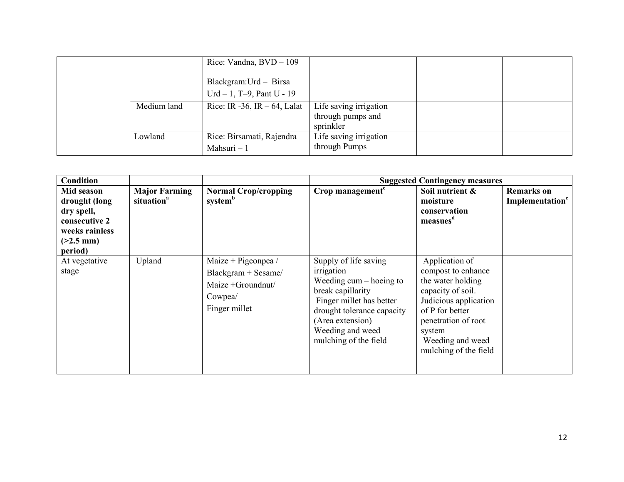|             | Rice: Vandna, $BVD - 109$<br>Blackgram: Urd - Birsa<br>$Urd - 1$ , T-9, Pant U - 19 |                                                          |  |
|-------------|-------------------------------------------------------------------------------------|----------------------------------------------------------|--|
| Medium land | Rice: IR -36, IR $-64$ , Lalat                                                      | Life saving irrigation<br>through pumps and<br>sprinkler |  |
| Lowland     | Rice: Birsamati, Rajendra<br>Mahsuri - 1                                            | Life saving irrigation<br>through Pumps                  |  |

| <b>Condition</b>                                                                                       |                                                |                                                                                             |                                                                                                                                                                                                                   | <b>Suggested Contingency measures</b>                                                                                                                                                                    |                                                  |
|--------------------------------------------------------------------------------------------------------|------------------------------------------------|---------------------------------------------------------------------------------------------|-------------------------------------------------------------------------------------------------------------------------------------------------------------------------------------------------------------------|----------------------------------------------------------------------------------------------------------------------------------------------------------------------------------------------------------|--------------------------------------------------|
| Mid season<br>drought (long<br>dry spell,<br>consecutive 2<br>weeks rainless<br>$(>2.5$ mm)<br>period) | <b>Major Farming</b><br>situation <sup>a</sup> | <b>Normal Crop/cropping</b><br>system <sup>b</sup>                                          | Crop management <sup>c</sup>                                                                                                                                                                                      | Soil nutrient &<br>moisture<br>conservation<br>measues <sup>a</sup>                                                                                                                                      | <b>Remarks</b> on<br>Implementation <sup>e</sup> |
| At vegetative<br>stage                                                                                 | Upland                                         | Maize + Pigeonpea /<br>Blackgram + Sesame/<br>Maize +Groundnut/<br>Cowpea/<br>Finger millet | Supply of life saving<br>irrigation<br>Weeding $cum - hoe$ ing to<br>break capillarity<br>Finger millet has better<br>drought tolerance capacity<br>(Area extension)<br>Weeding and weed<br>mulching of the field | Application of<br>compost to enhance<br>the water holding<br>capacity of soil.<br>Judicious application<br>of P for better<br>penetration of root<br>system<br>Weeding and weed<br>mulching of the field |                                                  |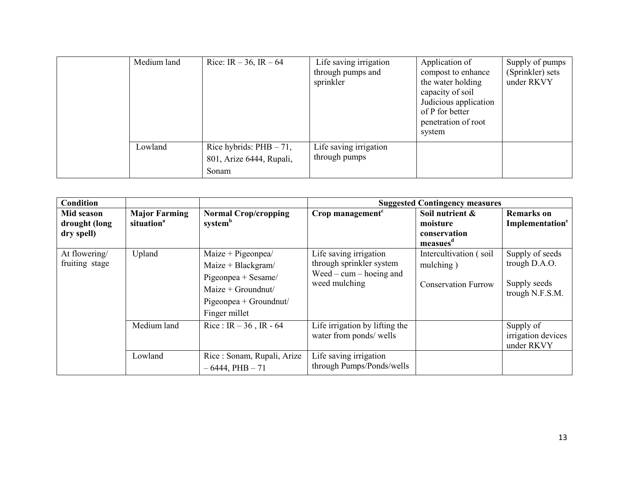| Medium land | Rice: IR $-36$ , IR $-64$                                       | Life saving irrigation<br>through pumps and<br>sprinkler | Application of<br>compost to enhance<br>the water holding<br>capacity of soil<br>Judicious application<br>of P for better<br>penetration of root<br>system | Supply of pumps<br>(Sprinkler) sets<br>under RKVY |
|-------------|-----------------------------------------------------------------|----------------------------------------------------------|------------------------------------------------------------------------------------------------------------------------------------------------------------|---------------------------------------------------|
| Lowland     | Rice hybrids: $PHB - 71$ ,<br>801, Arize 6444, Rupali,<br>Sonam | Life saving irrigation<br>through pumps                  |                                                                                                                                                            |                                                   |

| <b>Condition</b>                          |                                                |                                                                                                                                        |                                                                                                  | <b>Suggested Contingency measures</b>                               |                                                                     |
|-------------------------------------------|------------------------------------------------|----------------------------------------------------------------------------------------------------------------------------------------|--------------------------------------------------------------------------------------------------|---------------------------------------------------------------------|---------------------------------------------------------------------|
| Mid season<br>drought (long<br>dry spell) | <b>Major Farming</b><br>situation <sup>a</sup> | <b>Normal Crop/cropping</b><br>system <sup>b</sup>                                                                                     | Crop management <sup>c</sup>                                                                     | Soil nutrient &<br>moisture<br>conservation<br>measues <sup>d</sup> | <b>Remarks</b> on<br>Implementation <sup>e</sup>                    |
| At flowering/<br>fruiting stage           | Upland                                         | Maize + Pigeonpea/<br>$Maize + Blackgram/$<br>Pigeonpea + Sesame/<br>$Maize + Groundnut/$<br>$Pigeonpea + Groundnut/$<br>Finger millet | Life saving irrigation<br>through sprinkler system<br>$Weed - cum - hoeing$ and<br>weed mulching | Intercultivation (soil<br>mulching)<br><b>Conservation Furrow</b>   | Supply of seeds<br>trough D.A.O.<br>Supply seeds<br>trough N.F.S.M. |
|                                           | Medium land                                    | Rice: $IR - 36$ , $IR - 64$                                                                                                            | Life irrigation by lifting the<br>water from ponds/ wells                                        |                                                                     | Supply of<br>irrigation devices<br>under RKVY                       |
|                                           | Lowland                                        | Rice: Sonam, Rupali, Arize<br>$-6444,$ PHB $-71$                                                                                       | Life saving irrigation<br>through Pumps/Ponds/wells                                              |                                                                     |                                                                     |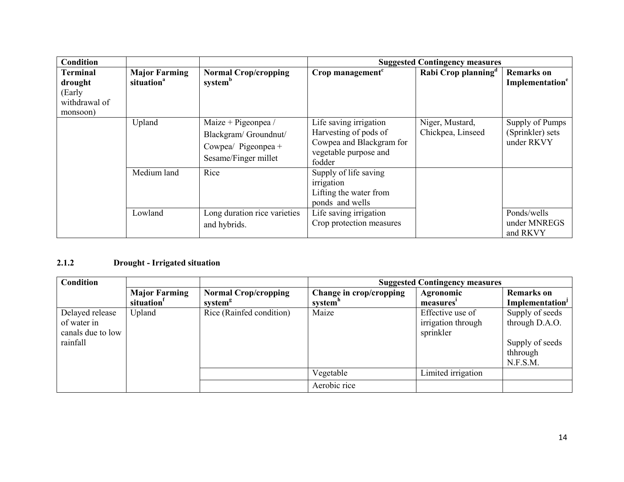| <b>Condition</b>                                                  |                                                |                                                                                            |                                                                                                                | <b>Suggested Contingency measures</b> |                                                   |
|-------------------------------------------------------------------|------------------------------------------------|--------------------------------------------------------------------------------------------|----------------------------------------------------------------------------------------------------------------|---------------------------------------|---------------------------------------------------|
| <b>Terminal</b><br>drought<br>(Early<br>withdrawal of<br>monsoon) | <b>Major Farming</b><br>situation <sup>a</sup> | <b>Normal Crop/cropping</b><br>system <sup>b</sup>                                         | Crop management <sup><math>c</math></sup>                                                                      | Rabi Crop planning <sup>a</sup>       | <b>Remarks</b> on<br>Implementation <sup>e</sup>  |
|                                                                   | Upland                                         | Maize + Pigeonpea /<br>Blackgram/Groundnut/<br>Cowpea/ Pigeonpea +<br>Sesame/Finger millet | Life saving irrigation<br>Harvesting of pods of<br>Cowpea and Blackgram for<br>vegetable purpose and<br>fodder | Niger, Mustard,<br>Chickpea, Linseed  | Supply of Pumps<br>(Sprinkler) sets<br>under RKVY |
|                                                                   | Medium land                                    | Rice                                                                                       | Supply of life saving<br>irrigation<br>Lifting the water from<br>ponds and wells                               |                                       |                                                   |
|                                                                   | Lowland                                        | Long duration rice varieties<br>and hybrids.                                               | Life saving irrigation<br>Crop protection measures                                                             |                                       | Ponds/wells<br>under MNREGS<br>and RKVY           |

## 2.1.2 Drought - Irrigated situation

| <b>Condition</b>  |                                                |                                                    | <b>Suggested Contingency measures</b>          |                        |                                                  |
|-------------------|------------------------------------------------|----------------------------------------------------|------------------------------------------------|------------------------|--------------------------------------------------|
|                   | <b>Major Farming</b><br>situation <sup>1</sup> | <b>Normal Crop/cropping</b><br>system <sup>g</sup> | Change in crop/cropping<br>system <sup>n</sup> | Agronomic<br>measures' | <b>Remarks</b> on<br>Implementation <sup>J</sup> |
| Delayed release   | Upland                                         | Rice (Rainfed condition)                           | Maize                                          | Effective use of       | Supply of seeds                                  |
| of water in       |                                                |                                                    |                                                | irrigation through     | through D.A.O.                                   |
| canals due to low |                                                |                                                    |                                                | sprinkler              |                                                  |
| rainfall          |                                                |                                                    |                                                |                        | Supply of seeds                                  |
|                   |                                                |                                                    |                                                |                        | thhrough                                         |
|                   |                                                |                                                    |                                                |                        | N.F.S.M.                                         |
|                   |                                                |                                                    | Vegetable                                      | Limited irrigation     |                                                  |
|                   |                                                |                                                    | Aerobic rice                                   |                        |                                                  |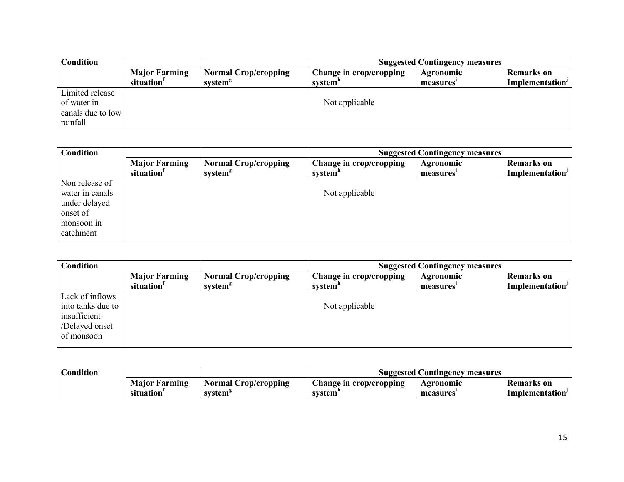| <b>Condition</b>  |                                                | <b>Suggested Contingency measures</b>              |                                    |                              |                                           |  |
|-------------------|------------------------------------------------|----------------------------------------------------|------------------------------------|------------------------------|-------------------------------------------|--|
|                   | <b>Major Farming</b><br>situation <sup>1</sup> | <b>Normal Crop/cropping</b><br>system <sup>g</sup> | Change in crop/cropping<br>system" | <b>Agronomic</b><br>measures | Remarks on<br>Implementation <sup>J</sup> |  |
| Limited release   |                                                |                                                    |                                    |                              |                                           |  |
| of water in       |                                                | Not applicable                                     |                                    |                              |                                           |  |
| canals due to low |                                                |                                                    |                                    |                              |                                           |  |
| rainfall          |                                                |                                                    |                                    |                              |                                           |  |

| Condition       |                                                | <b>Suggested Contingency measures</b>              |                                                |                        |                                     |
|-----------------|------------------------------------------------|----------------------------------------------------|------------------------------------------------|------------------------|-------------------------------------|
|                 | <b>Major Farming</b><br>situation <sup>1</sup> | <b>Normal Crop/cropping</b><br>system <sup>g</sup> | Change in crop/cropping<br>system <sup>n</sup> | Agronomic<br>measures' | <b>Remarks</b> on<br>Implementation |
| Non release of  |                                                |                                                    |                                                |                        |                                     |
| water in canals |                                                |                                                    | Not applicable                                 |                        |                                     |
| under delayed   |                                                |                                                    |                                                |                        |                                     |
| onset of        |                                                |                                                    |                                                |                        |                                     |
| monsoon in      |                                                |                                                    |                                                |                        |                                     |
| catchment       |                                                |                                                    |                                                |                        |                                     |

| Condition                                                                            |                                                | <b>Suggested Contingency measures</b>              |                                                |                        |                                                  |
|--------------------------------------------------------------------------------------|------------------------------------------------|----------------------------------------------------|------------------------------------------------|------------------------|--------------------------------------------------|
|                                                                                      | <b>Major Farming</b><br>situation <sup>1</sup> | <b>Normal Crop/cropping</b><br>system <sup>g</sup> | Change in crop/cropping<br>system <sup>n</sup> | Agronomic<br>measures' | <b>Remarks</b> on<br>Implementation <sup>J</sup> |
| Lack of inflows<br>into tanks due to<br>insufficient<br>/Delayed onset<br>of monsoon |                                                |                                                    | Not applicable                                 |                        |                                                  |

| <b>Condition</b> |                      |                             | <b>Suggested Contingency measures</b> |           |                   |
|------------------|----------------------|-----------------------------|---------------------------------------|-----------|-------------------|
|                  | <b>Major Farming</b> | <b>Normal Crop/cropping</b> | hange in crop/cropping                | Agronomic | <b>Remarks</b> on |
|                  | situation            | system <sup>-</sup>         | system                                | measures  | Implementation'   |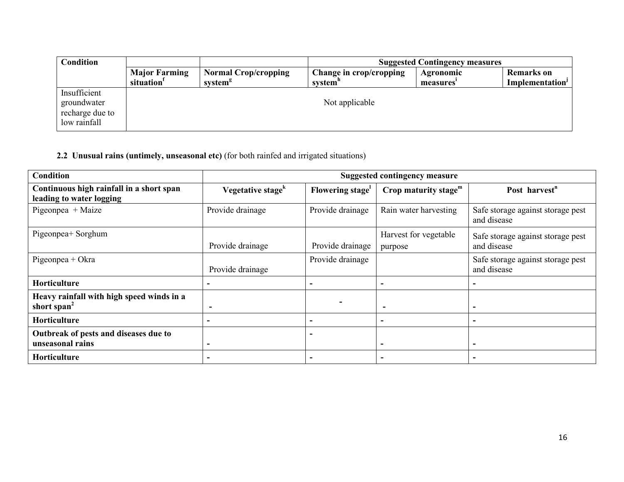| Condition                                                      |                                                | <b>Suggested Contingency measures</b>              |                                    |                        |                                                  |
|----------------------------------------------------------------|------------------------------------------------|----------------------------------------------------|------------------------------------|------------------------|--------------------------------------------------|
|                                                                | <b>Major Farming</b><br>situation <sup>1</sup> | <b>Normal Crop/cropping</b><br>system <sup>g</sup> | Change in crop/cropping<br>system" | Agronomic<br>measures' | <b>Remarks</b> on<br>Implementation <sup>J</sup> |
| Insufficient<br>groundwater<br>recharge due to<br>low rainfall |                                                |                                                    | Not applicable                     |                        |                                                  |

#### 2.2 Unusual rains (untimely, unseasonal etc) (for both rainfed and irrigated situations)

| <b>Condition</b>                                                     |                               |                  | <b>Suggested contingency measure</b> |                                                  |
|----------------------------------------------------------------------|-------------------------------|------------------|--------------------------------------|--------------------------------------------------|
| Continuous high rainfall in a short span<br>leading to water logging | Vegetative stage <sup>k</sup> | Flowering stage  | Crop maturity stage $m$              | Post harvest <sup>n</sup>                        |
| Pigeonpea + Maize                                                    | Provide drainage              | Provide drainage | Rain water harvesting                | Safe storage against storage pest<br>and disease |
| Pigeonpea+ Sorghum                                                   | Provide drainage              | Provide drainage | Harvest for vegetable<br>purpose     | Safe storage against storage pest<br>and disease |
| $Pigeonpea + Okra$                                                   | Provide drainage              | Provide drainage |                                      | Safe storage against storage pest<br>and disease |
| Horticulture                                                         |                               | -                |                                      |                                                  |
| Heavy rainfall with high speed winds in a<br>short span <sup>2</sup> | $\overline{\phantom{0}}$      |                  |                                      |                                                  |
| Horticulture                                                         | -                             | $\blacksquare$   |                                      |                                                  |
| Outbreak of pests and diseases due to<br>unseasonal rains            | ۰                             | -                |                                      |                                                  |
| <b>Horticulture</b>                                                  |                               | -                |                                      |                                                  |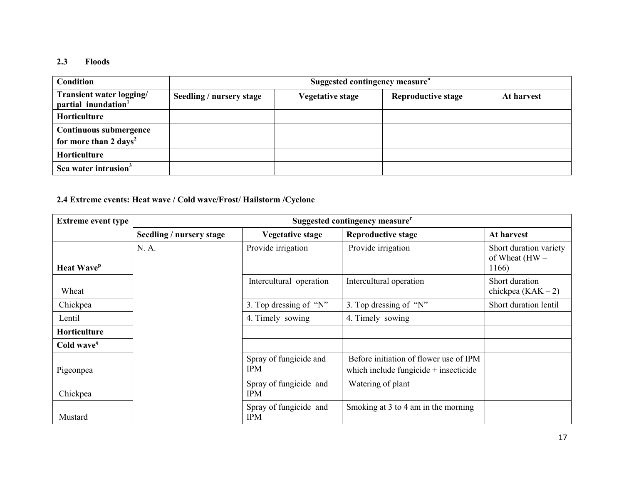## 2.3 Floods

| <b>Condition</b>                                                   | Suggested contingency measure <sup>o</sup> |                         |                           |            |  |  |
|--------------------------------------------------------------------|--------------------------------------------|-------------------------|---------------------------|------------|--|--|
| Transient water logging/<br>partial inundation <sup>1</sup>        | Seedling / nursery stage                   | <b>Vegetative stage</b> | <b>Reproductive stage</b> | At harvest |  |  |
| Horticulture                                                       |                                            |                         |                           |            |  |  |
| <b>Continuous submergence</b><br>for more than 2 days <sup>2</sup> |                                            |                         |                           |            |  |  |
| Horticulture                                                       |                                            |                         |                           |            |  |  |
| Sea water intrusion <sup>3</sup>                                   |                                            |                         |                           |            |  |  |

# 2.4 Extreme events: Heat wave / Cold wave/Frost/ Hailstorm /Cyclone

| <b>Extreme event type</b>     |                          |                                      | Suggested contingency measure <sup>r</sup>                                        |                                                     |
|-------------------------------|--------------------------|--------------------------------------|-----------------------------------------------------------------------------------|-----------------------------------------------------|
|                               | Seedling / nursery stage | <b>Vegetative stage</b>              | <b>Reproductive stage</b>                                                         | At harvest                                          |
| <b>Heat Wave</b> <sup>p</sup> | N. A.                    | Provide irrigation                   | Provide irrigation                                                                | Short duration variety<br>of Wheat $(HW -$<br>1166) |
| Wheat                         |                          | Intercultural operation              | Intercultural operation                                                           | Short duration<br>chickpea $(KAK - 2)$              |
| Chickpea                      |                          | 3. Top dressing of "N"               | 3. Top dressing of "N"                                                            | Short duration lentil                               |
| Lentil                        |                          | 4. Timely sowing                     | 4. Timely sowing                                                                  |                                                     |
| <b>Horticulture</b>           |                          |                                      |                                                                                   |                                                     |
| Cold wave <sup>q</sup>        |                          |                                      |                                                                                   |                                                     |
| Pigeonpea                     |                          | Spray of fungicide and<br><b>IPM</b> | Before initiation of flower use of IPM<br>which include fungicide $+$ insecticide |                                                     |
| Chickpea                      |                          | Spray of fungicide and<br><b>IPM</b> | Watering of plant                                                                 |                                                     |
| Mustard                       |                          | Spray of fungicide and<br><b>IPM</b> | Smoking at 3 to 4 am in the morning                                               |                                                     |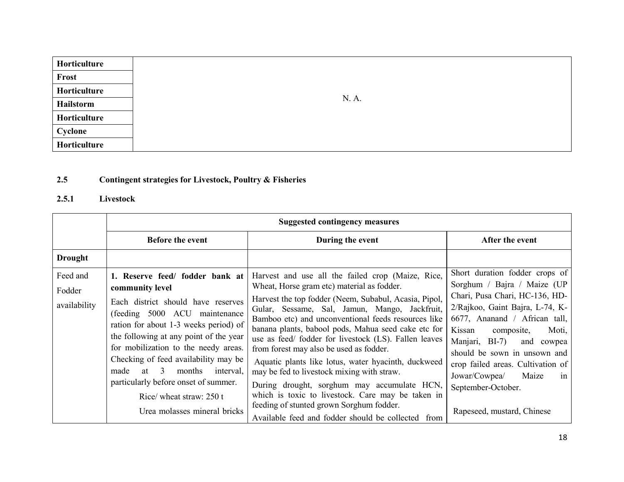| Horticulture |
|--------------|
| Frost        |
| Horticulture |
| Hailstorm    |
| Horticulture |
| Cyclone      |
| Horticulture |

#### 2.5Contingent strategies for Livestock, Poultry & Fisheries

#### 2.5.1 Livestock

|                                    | <b>Suggested contingency measures</b>                                                                                                                                                                                                                                                                                                                                                                                                   |                                                                                                                                                                                                                                                                                                                                                                                                                                                                                                                                                                                                                                                                                                                                           |                                                                                                                                                                                                                                                                                                                                                                                               |
|------------------------------------|-----------------------------------------------------------------------------------------------------------------------------------------------------------------------------------------------------------------------------------------------------------------------------------------------------------------------------------------------------------------------------------------------------------------------------------------|-------------------------------------------------------------------------------------------------------------------------------------------------------------------------------------------------------------------------------------------------------------------------------------------------------------------------------------------------------------------------------------------------------------------------------------------------------------------------------------------------------------------------------------------------------------------------------------------------------------------------------------------------------------------------------------------------------------------------------------------|-----------------------------------------------------------------------------------------------------------------------------------------------------------------------------------------------------------------------------------------------------------------------------------------------------------------------------------------------------------------------------------------------|
|                                    | <b>Before the event</b>                                                                                                                                                                                                                                                                                                                                                                                                                 | During the event                                                                                                                                                                                                                                                                                                                                                                                                                                                                                                                                                                                                                                                                                                                          | After the event                                                                                                                                                                                                                                                                                                                                                                               |
| <b>Drought</b>                     |                                                                                                                                                                                                                                                                                                                                                                                                                                         |                                                                                                                                                                                                                                                                                                                                                                                                                                                                                                                                                                                                                                                                                                                                           |                                                                                                                                                                                                                                                                                                                                                                                               |
| Feed and<br>Fodder<br>availability | 1. Reserve feed/ fodder bank at<br>community level<br>Each district should have reserves<br>(feeding 5000 ACU maintenance<br>ration for about 1-3 weeks period) of<br>the following at any point of the year<br>for mobilization to the needy areas.<br>Checking of feed availability may be<br>at $3$<br>months interval,<br>made<br>particularly before onset of summer.<br>Rice/ wheat straw: $250t$<br>Urea molasses mineral bricks | Harvest and use all the failed crop (Maize, Rice,<br>Wheat, Horse gram etc) material as fodder.<br>Harvest the top fodder (Neem, Subabul, Acasia, Pipol,<br>Gular, Sessame, Sal, Jamun, Mango, Jackfruit,<br>Bamboo etc) and unconventional feeds resources like<br>banana plants, babool pods, Mahua seed cake etc for<br>use as feed/ fodder for livestock (LS). Fallen leaves<br>from forest may also be used as fodder.<br>Aquatic plants like lotus, water hyacinth, duckweed<br>may be fed to livestock mixing with straw.<br>During drought, sorghum may accumulate HCN,<br>which is toxic to livestock. Care may be taken in<br>feeding of stunted grown Sorghum fodder.<br>Available feed and fodder should be collected<br>from | Short duration fodder crops of<br>Sorghum / Bajra / Maize (UP<br>Chari, Pusa Chari, HC-136, HD-<br>2/Rajkoo, Gaint Bajra, L-74, K-<br>6677, Ananand / African tall,<br>Kissan<br>Moti,<br>composite,<br>Manjari, BI-7)<br>and cowpea<br>should be sown in unsown and<br>crop failed areas. Cultivation of<br>Jowar/Cowpea/<br>Maize<br>in<br>September-October.<br>Rapeseed, mustard, Chinese |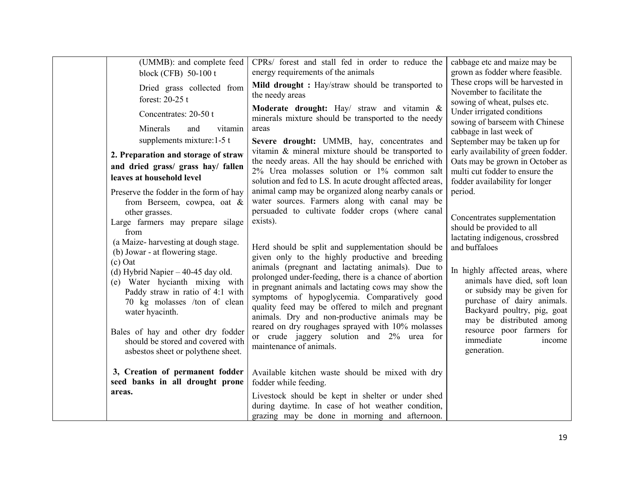| (UMMB): and complete feed<br>block (CFB) 50-100 t                                                                                                                                                                                                                                                                                                                                                                                                                                                          | CPRs/ forest and stall fed in order to reduce the<br>energy requirements of the animals                                                                                                                                                                                                                                                                                                                                                                                                                                                                                                                                                                                                                                                  | cabbage etc and maize may be<br>grown as fodder where feasible.<br>These crops will be harvested in                                                                                                                                                                                                                                                                                    |
|------------------------------------------------------------------------------------------------------------------------------------------------------------------------------------------------------------------------------------------------------------------------------------------------------------------------------------------------------------------------------------------------------------------------------------------------------------------------------------------------------------|------------------------------------------------------------------------------------------------------------------------------------------------------------------------------------------------------------------------------------------------------------------------------------------------------------------------------------------------------------------------------------------------------------------------------------------------------------------------------------------------------------------------------------------------------------------------------------------------------------------------------------------------------------------------------------------------------------------------------------------|----------------------------------------------------------------------------------------------------------------------------------------------------------------------------------------------------------------------------------------------------------------------------------------------------------------------------------------------------------------------------------------|
| Dried grass collected from<br>forest: 20-25 t                                                                                                                                                                                                                                                                                                                                                                                                                                                              | Mild drought: Hay/straw should be transported to<br>the needy areas                                                                                                                                                                                                                                                                                                                                                                                                                                                                                                                                                                                                                                                                      | November to facilitate the<br>sowing of wheat, pulses etc.                                                                                                                                                                                                                                                                                                                             |
| Concentrates: 20-50 t<br>Minerals<br>and<br>vitamin<br>supplements mixture: $1-5$ t                                                                                                                                                                                                                                                                                                                                                                                                                        | Moderate drought: Hay/ straw and vitamin &<br>minerals mixture should be transported to the needy<br>areas<br>Severe drought: UMMB, hay, concentrates and                                                                                                                                                                                                                                                                                                                                                                                                                                                                                                                                                                                | Under irrigated conditions<br>sowing of barseem with Chinese<br>cabbage in last week of<br>September may be taken up for                                                                                                                                                                                                                                                               |
| 2. Preparation and storage of straw<br>and dried grass/ grass hay/ fallen<br>leaves at household level                                                                                                                                                                                                                                                                                                                                                                                                     | vitamin & mineral mixture should be transported to<br>the needy areas. All the hay should be enriched with<br>2% Urea molasses solution or 1% common salt<br>solution and fed to LS. In acute drought affected areas,                                                                                                                                                                                                                                                                                                                                                                                                                                                                                                                    | early availability of green fodder.<br>Oats may be grown in October as<br>multi cut fodder to ensure the<br>fodder availability for longer                                                                                                                                                                                                                                             |
| Preserve the fodder in the form of hay<br>from Berseem, cowpea, oat &<br>other grasses.<br>Large farmers may prepare silage<br>from<br>(a Maize-harvesting at dough stage.<br>(b) Jowar - at flowering stage.<br>$(c)$ Oat<br>(d) Hybrid Napier $-40-45$ day old.<br>(e) Water hycianth mixing with<br>Paddy straw in ratio of 4:1 with<br>70 kg molasses /ton of clean<br>water hyacinth.<br>Bales of hay and other dry fodder<br>should be stored and covered with<br>asbestos sheet or polythene sheet. | animal camp may be organized along nearby canals or<br>water sources. Farmers along with canal may be<br>persuaded to cultivate fodder crops (where canal<br>exists).<br>Herd should be split and supplementation should be<br>given only to the highly productive and breeding<br>animals (pregnant and lactating animals). Due to<br>prolonged under-feeding, there is a chance of abortion<br>in pregnant animals and lactating cows may show the<br>symptoms of hypoglycemia. Comparatively good<br>quality feed may be offered to milch and pregnant<br>animals. Dry and non-productive animals may be<br>reared on dry roughages sprayed with 10% molasses<br>or crude jaggery solution and 2% urea for<br>maintenance of animals. | period.<br>Concentrates supplementation<br>should be provided to all<br>lactating indigenous, crossbred<br>and buffaloes<br>In highly affected areas, where<br>animals have died, soft loan<br>or subsidy may be given for<br>purchase of dairy animals.<br>Backyard poultry, pig, goat<br>may be distributed among<br>resource poor farmers for<br>immediate<br>income<br>generation. |
| 3, Creation of permanent fodder<br>seed banks in all drought prone<br>areas.                                                                                                                                                                                                                                                                                                                                                                                                                               | Available kitchen waste should be mixed with dry<br>fodder while feeding.<br>Livestock should be kept in shelter or under shed<br>during daytime. In case of hot weather condition,<br>grazing may be done in morning and afternoon.                                                                                                                                                                                                                                                                                                                                                                                                                                                                                                     |                                                                                                                                                                                                                                                                                                                                                                                        |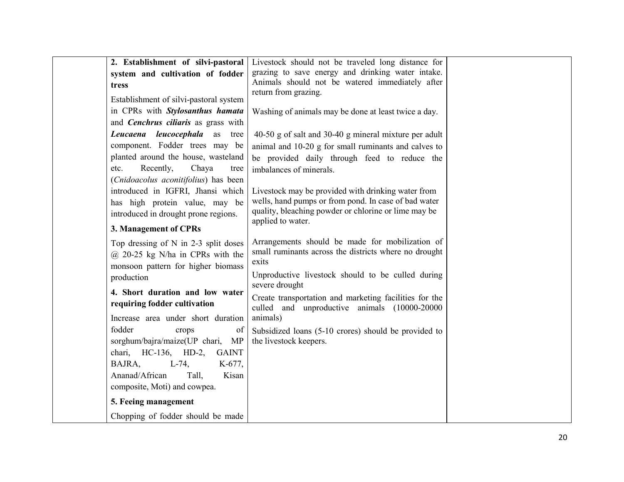| 2. Establishment of silvi-pastoral     | Livestock should not be traveled long distance for                                                           |
|----------------------------------------|--------------------------------------------------------------------------------------------------------------|
| system and cultivation of fodder       | grazing to save energy and drinking water intake.                                                            |
| tress                                  | Animals should not be watered immediately after<br>return from grazing.                                      |
| Establishment of silvi-pastoral system |                                                                                                              |
| in CPRs with Stylosanthus hamata       | Washing of animals may be done at least twice a day.                                                         |
| and Cenchrus ciliaris as grass with    |                                                                                                              |
| Leucaena leucocephala as tree          | 40-50 g of salt and 30-40 g mineral mixture per adult                                                        |
| component. Fodder trees may be         | animal and 10-20 g for small ruminants and calves to                                                         |
| planted around the house, wasteland    | be provided daily through feed to reduce the                                                                 |
| Recently,<br>Chaya<br>etc.<br>tree     | imbalances of minerals.                                                                                      |
| (Cnidoacolus aconitifolius) has been   |                                                                                                              |
| introduced in IGFRI, Jhansi which      | Livestock may be provided with drinking water from                                                           |
| has high protein value, may be         | wells, hand pumps or from pond. In case of bad water<br>quality, bleaching powder or chlorine or lime may be |
| introduced in drought prone regions.   | applied to water.                                                                                            |
| 3. Management of CPRs                  |                                                                                                              |
| Top dressing of $N$ in 2-3 split doses | Arrangements should be made for mobilization of                                                              |
| $@$ 20-25 kg N/ha in CPRs with the     | small ruminants across the districts where no drought                                                        |
| monsoon pattern for higher biomass     | exits                                                                                                        |
| production                             | Unproductive livestock should to be culled during<br>severe drought                                          |
| 4. Short duration and low water        |                                                                                                              |
| requiring fodder cultivation           | Create transportation and marketing facilities for the<br>culled and unproductive animals (10000-20000       |
| Increase area under short duration     | animals)                                                                                                     |
| fodder<br>crops<br>of                  | Subsidized loans (5-10 crores) should be provided to                                                         |
| sorghum/bajra/maize(UP chari, MP       | the livestock keepers.                                                                                       |
| chari, HC-136, HD-2,<br><b>GAINT</b>   |                                                                                                              |
| $L-74$ ,<br>BAJRA,<br>K-677,           |                                                                                                              |
| Ananad/African<br>Tall.<br>Kisan       |                                                                                                              |
| composite, Moti) and cowpea.           |                                                                                                              |
| 5. Feeing management                   |                                                                                                              |
| Chopping of fodder should be made      |                                                                                                              |
|                                        |                                                                                                              |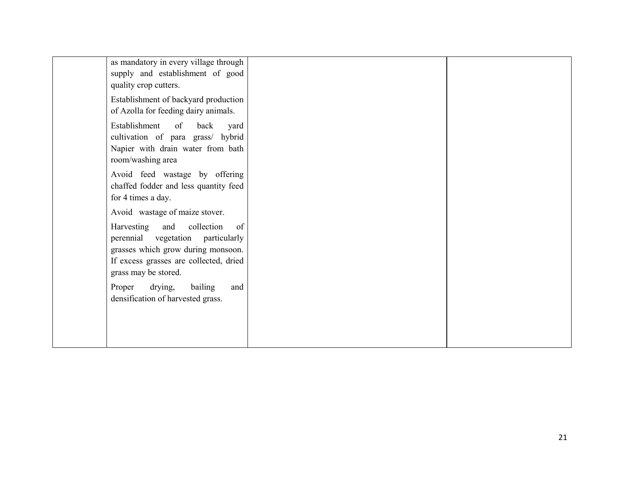| as mandatory in every village through<br>supply and establishment of good<br>quality crop cutters.                                                                                 |  |
|------------------------------------------------------------------------------------------------------------------------------------------------------------------------------------|--|
| Establishment of backyard production<br>of Azolla for feeding dairy animals.                                                                                                       |  |
| Establishment<br>$\circ$ of<br>back<br>yard<br>cultivation of para grass/ hybrid<br>Napier with drain water from bath<br>room/washing area                                         |  |
| Avoid feed wastage by offering<br>chaffed fodder and less quantity feed<br>for 4 times a day.                                                                                      |  |
| Avoid wastage of maize stover.                                                                                                                                                     |  |
| Harvesting<br>and<br>collection<br>of<br>perennial vegetation particularly<br>grasses which grow during monsoon.<br>If excess grasses are collected, dried<br>grass may be stored. |  |
| drying,<br>Proper<br>bailing<br>and<br>densification of harvested grass.                                                                                                           |  |
|                                                                                                                                                                                    |  |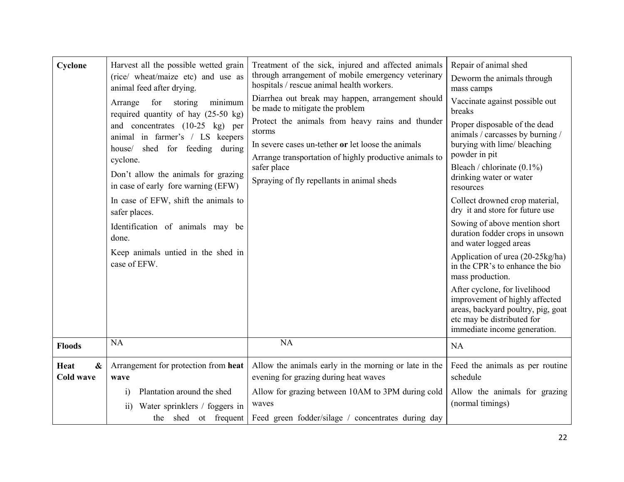| Cyclone                                       | Harvest all the possible wetted grain<br>(rice/ wheat/maize etc) and use as<br>animal feed after drying.<br>minimum<br>Arrange<br>for<br>storing<br>required quantity of hay $(25-50 \text{ kg})$<br>and concentrates (10-25 kg) per<br>animal in farmer's / LS keepers<br>house/ shed for feeding during<br>cyclone.<br>Don't allow the animals for grazing<br>in case of early fore warning (EFW)<br>In case of EFW, shift the animals to<br>safer places.<br>Identification of animals may be<br>done.<br>Keep animals untied in the shed in<br>case of EFW. | Treatment of the sick, injured and affected animals<br>through arrangement of mobile emergency veterinary<br>hospitals / rescue animal health workers.<br>Diarrhea out break may happen, arrangement should<br>be made to mitigate the problem<br>Protect the animals from heavy rains and thunder<br>storms<br>In severe cases un-tether or let loose the animals<br>Arrange transportation of highly productive animals to<br>safer place<br>Spraying of fly repellants in animal sheds | Repair of animal shed<br>Deworm the animals through<br>mass camps<br>Vaccinate against possible out<br>breaks<br>Proper disposable of the dead<br>animals / carcasses by burning /<br>burying with lime/ bleaching<br>powder in pit<br>Bleach / chlorinate $(0.1\%)$<br>drinking water or water<br>resources<br>Collect drowned crop material,<br>dry it and store for future use<br>Sowing of above mention short<br>duration fodder crops in unsown<br>and water logged areas<br>Application of urea (20-25kg/ha)<br>in the CPR's to enhance the bio<br>mass production.<br>After cyclone, for livelihood<br>improvement of highly affected<br>areas, backyard poultry, pig, goat<br>etc may be distributed for<br>immediate income generation. |
|-----------------------------------------------|-----------------------------------------------------------------------------------------------------------------------------------------------------------------------------------------------------------------------------------------------------------------------------------------------------------------------------------------------------------------------------------------------------------------------------------------------------------------------------------------------------------------------------------------------------------------|-------------------------------------------------------------------------------------------------------------------------------------------------------------------------------------------------------------------------------------------------------------------------------------------------------------------------------------------------------------------------------------------------------------------------------------------------------------------------------------------|---------------------------------------------------------------------------------------------------------------------------------------------------------------------------------------------------------------------------------------------------------------------------------------------------------------------------------------------------------------------------------------------------------------------------------------------------------------------------------------------------------------------------------------------------------------------------------------------------------------------------------------------------------------------------------------------------------------------------------------------------|
| <b>Floods</b>                                 | <b>NA</b>                                                                                                                                                                                                                                                                                                                                                                                                                                                                                                                                                       | NA                                                                                                                                                                                                                                                                                                                                                                                                                                                                                        | <b>NA</b>                                                                                                                                                                                                                                                                                                                                                                                                                                                                                                                                                                                                                                                                                                                                         |
| Heat<br>$\boldsymbol{\&}$<br><b>Cold wave</b> | Arrangement for protection from heat<br>wave<br>Plantation around the shed<br>$\mathbf{i}$<br>Water sprinklers / foggers in<br>$\overline{ii}$<br>the shed ot frequent                                                                                                                                                                                                                                                                                                                                                                                          | Allow the animals early in the morning or late in the<br>evening for grazing during heat waves<br>Allow for grazing between 10AM to 3PM during cold<br>waves<br>Feed green fodder/silage / concentrates during day                                                                                                                                                                                                                                                                        | Feed the animals as per routine<br>schedule<br>Allow the animals for grazing<br>(normal timings)                                                                                                                                                                                                                                                                                                                                                                                                                                                                                                                                                                                                                                                  |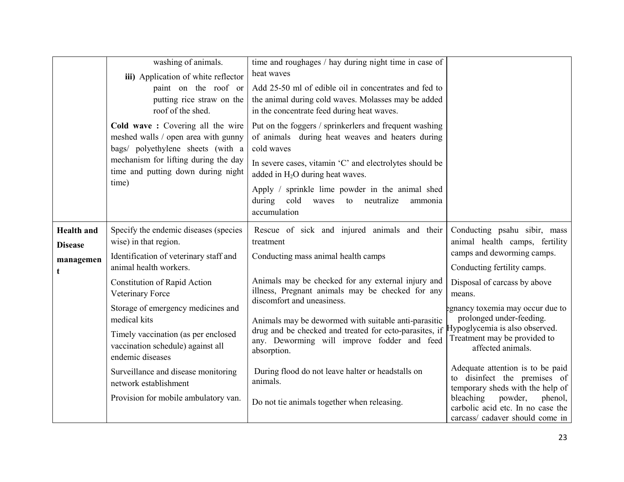|                                                       | washing of animals.<br>iii) Application of white reflector<br>paint on the roof or<br>putting rice straw on the<br>roof of the shed.<br>Cold wave: Covering all the wire<br>meshed walls / open area with gunny<br>bags/ polyethylene sheets (with a<br>mechanism for lifting during the day<br>time and putting down during night<br>time)                                                                                                                 | time and roughages / hay during night time in case of<br>heat waves<br>Add 25-50 ml of edible oil in concentrates and fed to<br>the animal during cold waves. Molasses may be added<br>in the concentrate feed during heat waves.<br>Put on the foggers / sprinkerlers and frequent washing<br>of animals during heat weaves and heaters during<br>cold waves<br>In severe cases, vitamin 'C' and electrolytes should be<br>added in $H_2O$ during heat waves.<br>Apply / sprinkle lime powder in the animal shed<br>during<br>cold<br>waves to neutralize<br>ammonia<br>accumulation |                                                                                                                                                                                                                                                                                                                                                                                                                                                                                                            |
|-------------------------------------------------------|-------------------------------------------------------------------------------------------------------------------------------------------------------------------------------------------------------------------------------------------------------------------------------------------------------------------------------------------------------------------------------------------------------------------------------------------------------------|---------------------------------------------------------------------------------------------------------------------------------------------------------------------------------------------------------------------------------------------------------------------------------------------------------------------------------------------------------------------------------------------------------------------------------------------------------------------------------------------------------------------------------------------------------------------------------------|------------------------------------------------------------------------------------------------------------------------------------------------------------------------------------------------------------------------------------------------------------------------------------------------------------------------------------------------------------------------------------------------------------------------------------------------------------------------------------------------------------|
| <b>Health</b> and<br><b>Disease</b><br>managemen<br>t | Specify the endemic diseases (species<br>wise) in that region.<br>Identification of veterinary staff and<br>animal health workers.<br><b>Constitution of Rapid Action</b><br>Veterinary Force<br>Storage of emergency medicines and<br>medical kits<br>Timely vaccination (as per enclosed<br>vaccination schedule) against all<br>endemic diseases<br>Surveillance and disease monitoring<br>network establishment<br>Provision for mobile ambulatory van. | Rescue of sick and injured animals and their<br>treatment<br>Conducting mass animal health camps<br>Animals may be checked for any external injury and<br>illness, Pregnant animals may be checked for any<br>discomfort and uneasiness.<br>Animals may be dewormed with suitable anti-parasitic<br>drug and be checked and treated for ecto-parasites, if Hypoglycemia is also observed.<br>any. Deworming will improve fodder and feed<br>absorption.<br>During flood do not leave halter or headstalls on<br>animals.<br>Do not tie animals together when releasing.               | Conducting psahu sibir, mass<br>animal health camps, fertility<br>camps and deworming camps.<br>Conducting fertility camps.<br>Disposal of carcass by above<br>means.<br>egnancy toxemia may occur due to<br>prolonged under-feeding.<br>Treatment may be provided to<br>affected animals.<br>Adequate attention is to be paid<br>to disinfect the premises of<br>temporary sheds with the help of<br>bleaching powder,<br>phenol,<br>carbolic acid etc. In no case the<br>carcass/ cadaver should come in |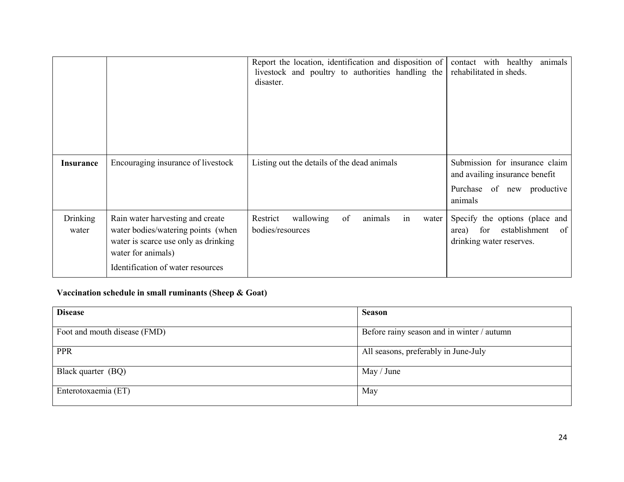|                          |                                                                                                                                                                           | Report the location, identification and disposition of<br>livestock and poultry to authorities handling the<br>disaster. | contact with healthy<br>animals<br>rehabilitated in sheds.                                                   |
|--------------------------|---------------------------------------------------------------------------------------------------------------------------------------------------------------------------|--------------------------------------------------------------------------------------------------------------------------|--------------------------------------------------------------------------------------------------------------|
| <b>Insurance</b>         | Encouraging insurance of livestock                                                                                                                                        | Listing out the details of the dead animals                                                                              | Submission for insurance claim<br>and availing insurance benefit<br>Purchase of new productive<br>animals    |
| <b>Drinking</b><br>water | Rain water harvesting and create<br>water bodies/watering points (when<br>water is scarce use only as drinking<br>water for animals)<br>Identification of water resources | of<br>Restrict<br>wallowing<br>animals<br>in<br>water<br>bodies/resources                                                | Specify the options (place and<br>establishment<br><sub>of</sub><br>for<br>area)<br>drinking water reserves. |

# Vaccination schedule in small ruminants (Sheep & Goat)

| <b>Disease</b>               | <b>Season</b>                              |  |
|------------------------------|--------------------------------------------|--|
| Foot and mouth disease (FMD) | Before rainy season and in winter / autumn |  |
| <b>PPR</b>                   | All seasons, preferably in June-July       |  |
| Black quarter (BQ)           | May / June                                 |  |
| Enterotoxaemia (ET)          | May                                        |  |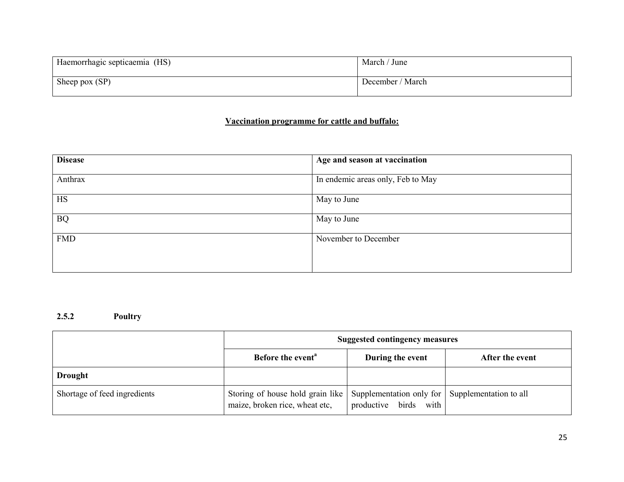| Haemorrhagic septicaemia (HS) | March / June     |
|-------------------------------|------------------|
| Sheep pox $(SP)$              | December / March |

## Vaccination programme for cattle and buffalo:

| <b>Disease</b> | Age and season at vaccination     |
|----------------|-----------------------------------|
| Anthrax        | In endemic areas only, Feb to May |
| <b>HS</b>      | May to June                       |
| <b>BQ</b>      | May to June                       |
| <b>FMD</b>     | November to December              |
|                |                                   |

2.5.2 Poultry

|                              | <b>Suggested contingency measures</b>                              |                                                                             |                 |
|------------------------------|--------------------------------------------------------------------|-----------------------------------------------------------------------------|-----------------|
|                              | Before the event <sup>a</sup>                                      | During the event                                                            | After the event |
| <b>Drought</b>               |                                                                    |                                                                             |                 |
| Shortage of feed ingredients | Storing of house hold grain like<br>maize, broken rice, wheat etc, | Supplementation only for Supplementation to all<br>productive birds<br>with |                 |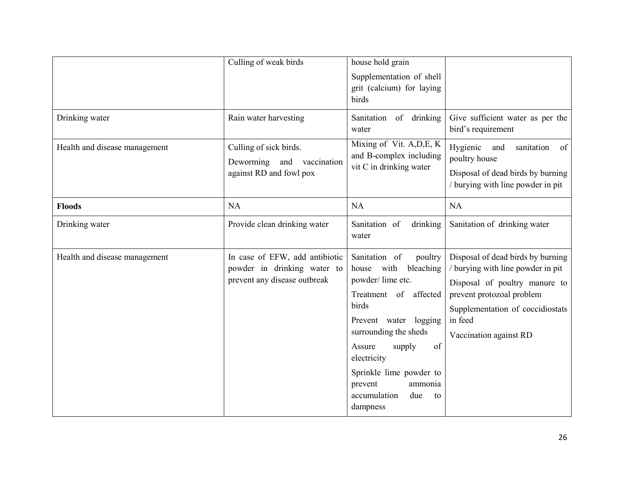| Drinking water                | Culling of weak birds<br>Rain water harvesting                                                | house hold grain<br>Supplementation of shell<br>grit (calcium) for laying<br>birds<br>Sanitation<br>of drinking                                                                                                                                                                                | Give sufficient water as per the                                                                                                                                                                              |
|-------------------------------|-----------------------------------------------------------------------------------------------|------------------------------------------------------------------------------------------------------------------------------------------------------------------------------------------------------------------------------------------------------------------------------------------------|---------------------------------------------------------------------------------------------------------------------------------------------------------------------------------------------------------------|
| Health and disease management | Culling of sick birds.<br>Deworming<br>and vaccination<br>against RD and fowl pox             | water<br>Mixing of Vit. A, D, E, K<br>and B-complex including<br>vit C in drinking water                                                                                                                                                                                                       | bird's requirement<br>Hygienic<br>and<br>sanitation<br>of<br>poultry house<br>Disposal of dead birds by burning<br>/ burying with line powder in pit                                                          |
| <b>Floods</b>                 | <b>NA</b>                                                                                     | NA                                                                                                                                                                                                                                                                                             | <b>NA</b>                                                                                                                                                                                                     |
| Drinking water                | Provide clean drinking water                                                                  | Sanitation of<br>drinking<br>water                                                                                                                                                                                                                                                             | Sanitation of drinking water                                                                                                                                                                                  |
| Health and disease management | In case of EFW, add antibiotic<br>powder in drinking water to<br>prevent any disease outbreak | Sanitation of<br>poultry<br>house with<br>bleaching<br>powder/lime etc.<br>Treatment of affected<br>birds<br>Prevent water logging<br>surrounding the sheds<br>of<br>Assure<br>supply<br>electricity<br>Sprinkle lime powder to<br>prevent<br>ammonia<br>accumulation<br>due<br>to<br>dampness | Disposal of dead birds by burning<br>/ burying with line powder in pit<br>Disposal of poultry manure to<br>prevent protozoal problem<br>Supplementation of coccidiostats<br>in feed<br>Vaccination against RD |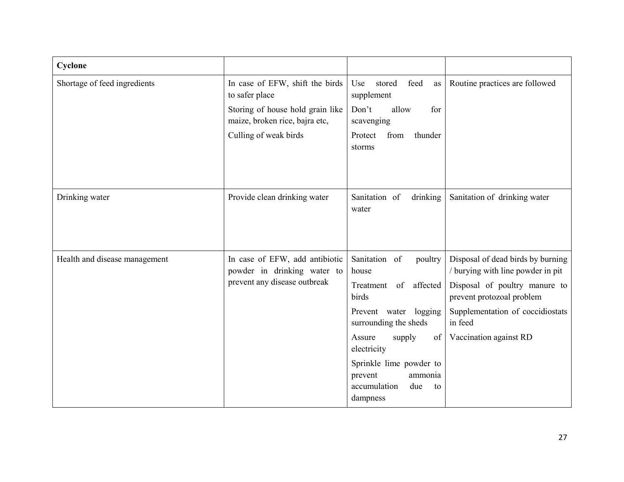| Cyclone                       |                                                                                               |                                                                                                                                                                   |                                                                                                                                                                                                               |
|-------------------------------|-----------------------------------------------------------------------------------------------|-------------------------------------------------------------------------------------------------------------------------------------------------------------------|---------------------------------------------------------------------------------------------------------------------------------------------------------------------------------------------------------------|
| Shortage of feed ingredients  | In case of EFW, shift the birds<br>to safer place                                             | Use<br>stored<br>feed<br>as<br>supplement                                                                                                                         | Routine practices are followed                                                                                                                                                                                |
|                               | Storing of house hold grain like<br>maize, broken rice, bajra etc,                            | Don't<br>allow<br>for<br>scavenging                                                                                                                               |                                                                                                                                                                                                               |
|                               | Culling of weak birds                                                                         | from<br>thunder<br>Protect<br>storms                                                                                                                              |                                                                                                                                                                                                               |
| Drinking water                | Provide clean drinking water                                                                  | Sanitation of<br>drinking<br>water                                                                                                                                | Sanitation of drinking water                                                                                                                                                                                  |
| Health and disease management | In case of EFW, add antibiotic<br>powder in drinking water to<br>prevent any disease outbreak | Sanitation of<br>poultry<br>house<br>of affected<br>Treatment<br>birds<br>Prevent water logging<br>surrounding the sheds<br>Assure<br>supply<br>of<br>electricity | Disposal of dead birds by burning<br>/ burying with line powder in pit<br>Disposal of poultry manure to<br>prevent protozoal problem<br>Supplementation of coccidiostats<br>in feed<br>Vaccination against RD |
|                               |                                                                                               | Sprinkle lime powder to<br>prevent<br>ammonia<br>accumulation<br>due<br>to<br>dampness                                                                            |                                                                                                                                                                                                               |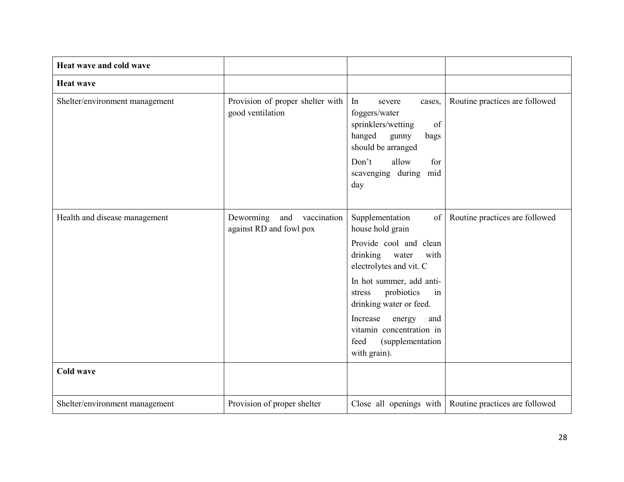| Heat wave and cold wave        |                                                            |                                                                                                                                                                               |                                |
|--------------------------------|------------------------------------------------------------|-------------------------------------------------------------------------------------------------------------------------------------------------------------------------------|--------------------------------|
| <b>Heat wave</b>               |                                                            |                                                                                                                                                                               |                                |
| Shelter/environment management | Provision of proper shelter with<br>good ventilation       | In<br>severe<br>cases,<br>foggers/water<br>sprinklers/wetting<br>of<br>hanged<br>gunny<br>bags<br>should be arranged<br>allow<br>Don't<br>for<br>scavenging during mid<br>day | Routine practices are followed |
|                                |                                                            |                                                                                                                                                                               |                                |
| Health and disease management  | Deworming<br>and<br>vaccination<br>against RD and fowl pox | Supplementation<br>of<br>house hold grain                                                                                                                                     | Routine practices are followed |
|                                |                                                            | Provide cool and clean<br>drinking water<br>with<br>electrolytes and vit. C                                                                                                   |                                |
|                                |                                                            | In hot summer, add anti-<br>probiotics<br>stress<br>in<br>drinking water or feed.                                                                                             |                                |
|                                |                                                            | Increase<br>energy<br>and<br>vitamin concentration in<br>feed<br>(supplementation<br>with grain).                                                                             |                                |
| <b>Cold wave</b>               |                                                            |                                                                                                                                                                               |                                |
| Shelter/environment management | Provision of proper shelter                                | Close all openings with                                                                                                                                                       | Routine practices are followed |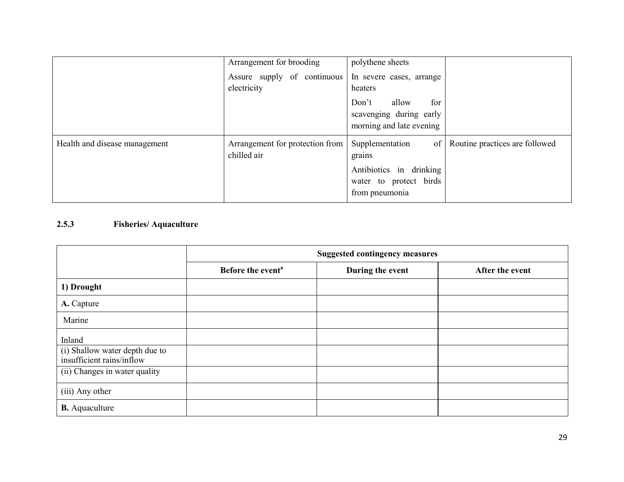|                               | Arrangement for brooding                       | polythene sheets                                                                                       |                                |
|-------------------------------|------------------------------------------------|--------------------------------------------------------------------------------------------------------|--------------------------------|
|                               | Assure supply of continuous<br>electricity     | In severe cases, arrange<br>heaters                                                                    |                                |
|                               |                                                | allow<br>Don't<br>for<br>scavenging during early<br>morning and late evening                           |                                |
| Health and disease management | Arrangement for protection from<br>chilled air | Supplementation<br>of<br>grains<br>Antibiotics in drinking<br>water to protect birds<br>from pneumonia | Routine practices are followed |

# 2.5.3 Fisheries/ Aquaculture

|                                                             | <b>Suggested contingency measures</b> |                  |                 |
|-------------------------------------------------------------|---------------------------------------|------------------|-----------------|
|                                                             | Before the event <sup>a</sup>         | During the event | After the event |
| 1) Drought                                                  |                                       |                  |                 |
| A. Capture                                                  |                                       |                  |                 |
| Marine                                                      |                                       |                  |                 |
| Inland                                                      |                                       |                  |                 |
| (i) Shallow water depth due to<br>insufficient rains/inflow |                                       |                  |                 |
| (ii) Changes in water quality                               |                                       |                  |                 |
| (iii) Any other                                             |                                       |                  |                 |
| <b>B.</b> Aquaculture                                       |                                       |                  |                 |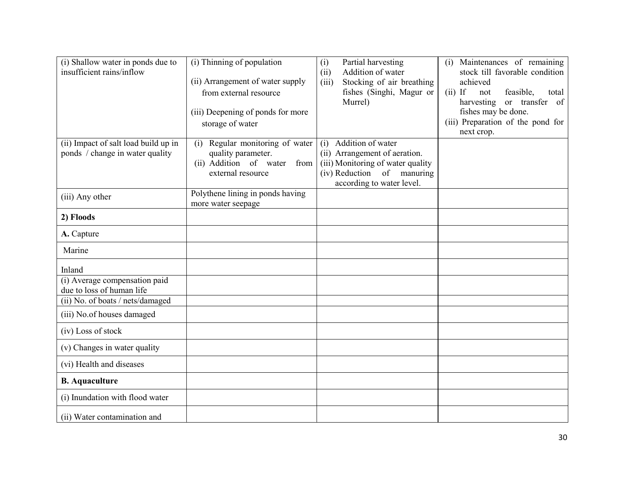| (i) Shallow water in ponds due to<br>insufficient rains/inflow | (i) Thinning of population                                 | Partial harvesting<br>(i)<br>Addition of water<br>(ii)             | (i) Maintenances of remaining<br>stock till favorable condition |
|----------------------------------------------------------------|------------------------------------------------------------|--------------------------------------------------------------------|-----------------------------------------------------------------|
|                                                                | (ii) Arrangement of water supply<br>from external resource | Stocking of air breathing<br>(iii)<br>fishes (Singhi, Magur or     | achieved<br>$(ii)$ If<br>not<br>feasible,<br>total              |
|                                                                |                                                            | Murrel)                                                            | or transfer of<br>harvesting                                    |
|                                                                | (iii) Deepening of ponds for more                          |                                                                    | fishes may be done.                                             |
|                                                                | storage of water                                           |                                                                    | (iii) Preparation of the pond for<br>next crop.                 |
| (ii) Impact of salt load build up in                           | (i) Regular monitoring of water                            | Addition of water<br>(i)                                           |                                                                 |
| ponds / change in water quality                                | quality parameter.<br>(ii) Addition of water<br>from       | (ii) Arrangement of aeration.<br>(iii) Monitoring of water quality |                                                                 |
|                                                                | external resource                                          | (iv) Reduction of manuring                                         |                                                                 |
|                                                                |                                                            | according to water level.                                          |                                                                 |
| (iii) Any other                                                | Polythene lining in ponds having<br>more water seepage     |                                                                    |                                                                 |
| 2) Floods                                                      |                                                            |                                                                    |                                                                 |
| A. Capture                                                     |                                                            |                                                                    |                                                                 |
| Marine                                                         |                                                            |                                                                    |                                                                 |
| Inland                                                         |                                                            |                                                                    |                                                                 |
| (i) Average compensation paid<br>due to loss of human life     |                                                            |                                                                    |                                                                 |
| (ii) No. of boats / nets/damaged                               |                                                            |                                                                    |                                                                 |
| (iii) No.of houses damaged                                     |                                                            |                                                                    |                                                                 |
| (iv) Loss of stock                                             |                                                            |                                                                    |                                                                 |
| (v) Changes in water quality                                   |                                                            |                                                                    |                                                                 |
| (vi) Health and diseases                                       |                                                            |                                                                    |                                                                 |
| <b>B.</b> Aquaculture                                          |                                                            |                                                                    |                                                                 |
| (i) Inundation with flood water                                |                                                            |                                                                    |                                                                 |
| (ii) Water contamination and                                   |                                                            |                                                                    |                                                                 |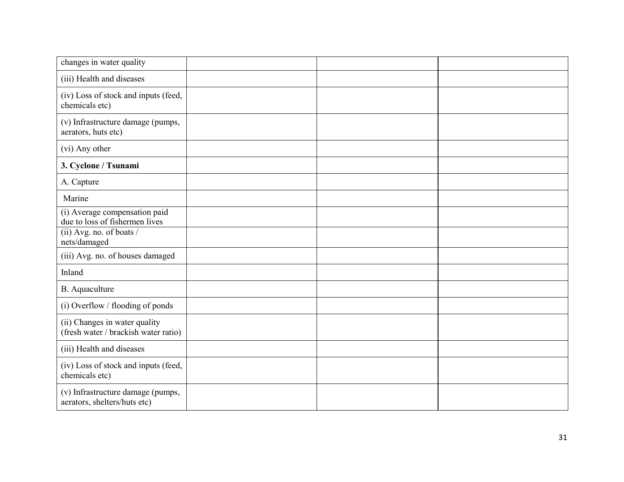| changes in water quality                                              |  |  |
|-----------------------------------------------------------------------|--|--|
| (iii) Health and diseases                                             |  |  |
| (iv) Loss of stock and inputs (feed,<br>chemicals etc)                |  |  |
| (v) Infrastructure damage (pumps,<br>aerators, huts etc)              |  |  |
| (vi) Any other                                                        |  |  |
| 3. Cyclone / Tsunami                                                  |  |  |
| A. Capture                                                            |  |  |
| Marine                                                                |  |  |
| (i) Average compensation paid<br>due to loss of fishermen lives       |  |  |
| (ii) Avg. no. of boats /<br>nets/damaged                              |  |  |
| (iii) Avg. no. of houses damaged                                      |  |  |
| Inland                                                                |  |  |
| <b>B.</b> Aquaculture                                                 |  |  |
| (i) Overflow / flooding of ponds                                      |  |  |
| (ii) Changes in water quality<br>(fresh water / brackish water ratio) |  |  |
| (iii) Health and diseases                                             |  |  |
| (iv) Loss of stock and inputs (feed,<br>chemicals etc)                |  |  |
| (v) Infrastructure damage (pumps,<br>aerators, shelters/huts etc)     |  |  |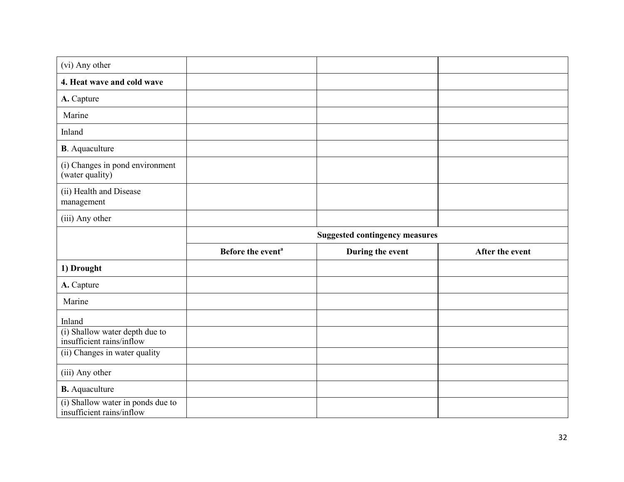| (vi) Any other                                              |                                       |                  |                 |
|-------------------------------------------------------------|---------------------------------------|------------------|-----------------|
| 4. Heat wave and cold wave                                  |                                       |                  |                 |
| A. Capture                                                  |                                       |                  |                 |
| Marine                                                      |                                       |                  |                 |
| Inland                                                      |                                       |                  |                 |
| <b>B</b> . Aquaculture                                      |                                       |                  |                 |
| (i) Changes in pond environment<br>(water quality)          |                                       |                  |                 |
| (ii) Health and Disease<br>management                       |                                       |                  |                 |
| (iii) Any other                                             |                                       |                  |                 |
|                                                             | <b>Suggested contingency measures</b> |                  |                 |
|                                                             |                                       |                  |                 |
|                                                             | Before the event <sup>a</sup>         | During the event | After the event |
| 1) Drought                                                  |                                       |                  |                 |
| A. Capture                                                  |                                       |                  |                 |
| Marine                                                      |                                       |                  |                 |
| Inland                                                      |                                       |                  |                 |
| (i) Shallow water depth due to<br>insufficient rains/inflow |                                       |                  |                 |
| (ii) Changes in water quality                               |                                       |                  |                 |
| (iii) Any other                                             |                                       |                  |                 |
| <b>B.</b> Aquaculture<br>(i) Shallow water in ponds due to  |                                       |                  |                 |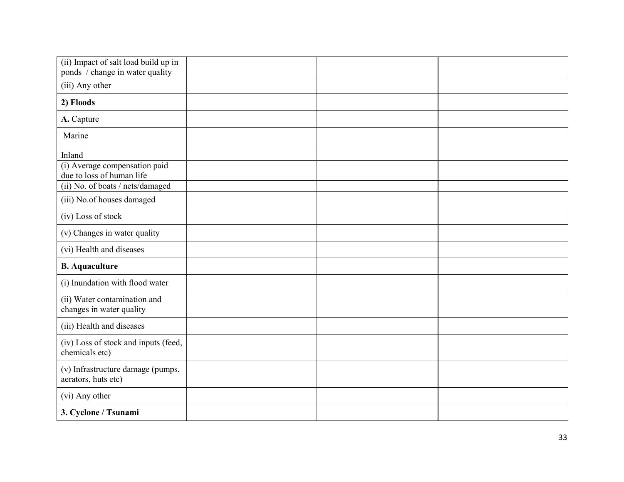| (ii) Impact of salt load build up in<br>ponds / change in water quality |  |  |
|-------------------------------------------------------------------------|--|--|
| (iii) Any other                                                         |  |  |
| 2) Floods                                                               |  |  |
| A. Capture                                                              |  |  |
| Marine                                                                  |  |  |
| Inland                                                                  |  |  |
| (i) Average compensation paid<br>due to loss of human life              |  |  |
| (ii) No. of boats / nets/damaged                                        |  |  |
| (iii) No.of houses damaged                                              |  |  |
| (iv) Loss of stock                                                      |  |  |
| (v) Changes in water quality                                            |  |  |
| (vi) Health and diseases                                                |  |  |
| <b>B.</b> Aquaculture                                                   |  |  |
| (i) Inundation with flood water                                         |  |  |
| (ii) Water contamination and<br>changes in water quality                |  |  |
| (iii) Health and diseases                                               |  |  |
| (iv) Loss of stock and inputs (feed,<br>chemicals etc)                  |  |  |
| (v) Infrastructure damage (pumps,<br>aerators, huts etc)                |  |  |
| (vi) Any other                                                          |  |  |
| 3. Cyclone / Tsunami                                                    |  |  |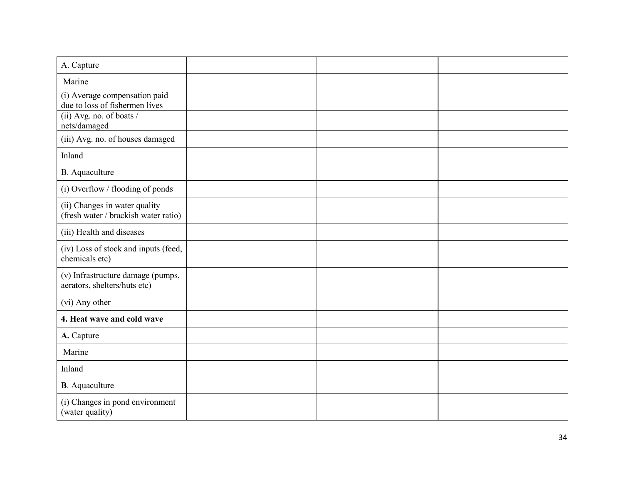| A. Capture                                                            |  |  |
|-----------------------------------------------------------------------|--|--|
|                                                                       |  |  |
| Marine                                                                |  |  |
| (i) Average compensation paid<br>due to loss of fishermen lives       |  |  |
| (ii) Avg. no. of boats /<br>nets/damaged                              |  |  |
| (iii) Avg. no. of houses damaged                                      |  |  |
| Inland                                                                |  |  |
| <b>B.</b> Aquaculture                                                 |  |  |
| (i) Overflow / flooding of ponds                                      |  |  |
| (ii) Changes in water quality<br>(fresh water / brackish water ratio) |  |  |
| (iii) Health and diseases                                             |  |  |
| (iv) Loss of stock and inputs (feed,<br>chemicals etc)                |  |  |
| (v) Infrastructure damage (pumps,<br>aerators, shelters/huts etc)     |  |  |
| (vi) Any other                                                        |  |  |
| 4. Heat wave and cold wave                                            |  |  |
| A. Capture                                                            |  |  |
| Marine                                                                |  |  |
| Inland                                                                |  |  |
| <b>B</b> . Aquaculture                                                |  |  |
| (i) Changes in pond environment<br>(water quality)                    |  |  |